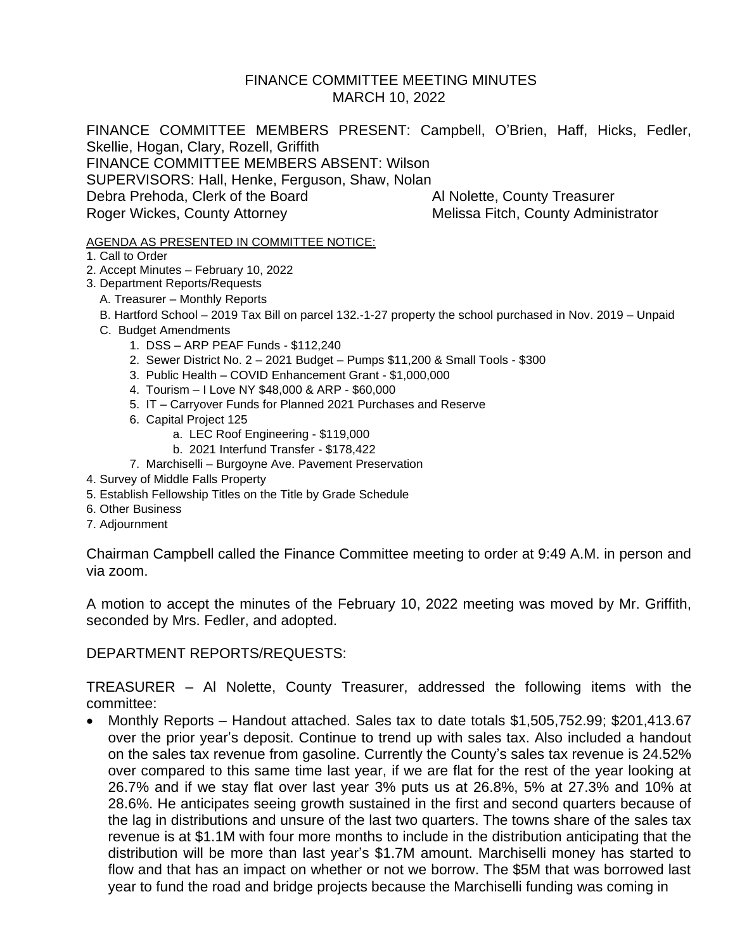# FINANCE COMMITTEE MEETING MINUTES MARCH 10, 2022

FINANCE COMMITTEE MEMBERS PRESENT: Campbell, O'Brien, Haff, Hicks, Fedler, Skellie, Hogan, Clary, Rozell, Griffith FINANCE COMMITTEE MEMBERS ABSENT: Wilson SUPERVISORS: Hall, Henke, Ferguson, Shaw, Nolan Debra Prehoda, Clerk of the Board Al Nolette, County Treasurer Roger Wickes, County Attorney Melissa Fitch, County Administrator

#### AGENDA AS PRESENTED IN COMMITTEE NOTICE:

- 1. Call to Order
- 2. Accept Minutes February 10, 2022
- 3. Department Reports/Requests
	- A. Treasurer Monthly Reports
	- B. Hartford School 2019 Tax Bill on parcel 132.-1-27 property the school purchased in Nov. 2019 Unpaid
	- C. Budget Amendments
		- 1. DSS ARP PEAF Funds \$112,240
		- 2. Sewer District No. 2 2021 Budget Pumps \$11,200 & Small Tools \$300
		- 3. Public Health COVID Enhancement Grant \$1,000,000
		- 4. Tourism I Love NY \$48,000 & ARP \$60,000
		- 5. IT Carryover Funds for Planned 2021 Purchases and Reserve
		- 6. Capital Project 125
			- a. LEC Roof Engineering \$119,000
			- b. 2021 Interfund Transfer \$178,422
		- 7. Marchiselli Burgoyne Ave. Pavement Preservation
- 4. Survey of Middle Falls Property
- 5. Establish Fellowship Titles on the Title by Grade Schedule
- 6. Other Business
- 7. Adjournment

Chairman Campbell called the Finance Committee meeting to order at 9:49 A.M. in person and via zoom.

A motion to accept the minutes of the February 10, 2022 meeting was moved by Mr. Griffith, seconded by Mrs. Fedler, and adopted.

DEPARTMENT REPORTS/REQUESTS:

TREASURER – Al Nolette, County Treasurer, addressed the following items with the committee:

• Monthly Reports – Handout attached. Sales tax to date totals \$1,505,752.99; \$201,413.67 over the prior year's deposit. Continue to trend up with sales tax. Also included a handout on the sales tax revenue from gasoline. Currently the County's sales tax revenue is 24.52% over compared to this same time last year, if we are flat for the rest of the year looking at 26.7% and if we stay flat over last year 3% puts us at 26.8%, 5% at 27.3% and 10% at 28.6%. He anticipates seeing growth sustained in the first and second quarters because of the lag in distributions and unsure of the last two quarters. The towns share of the sales tax revenue is at \$1.1M with four more months to include in the distribution anticipating that the distribution will be more than last year's \$1.7M amount. Marchiselli money has started to flow and that has an impact on whether or not we borrow. The \$5M that was borrowed last year to fund the road and bridge projects because the Marchiselli funding was coming in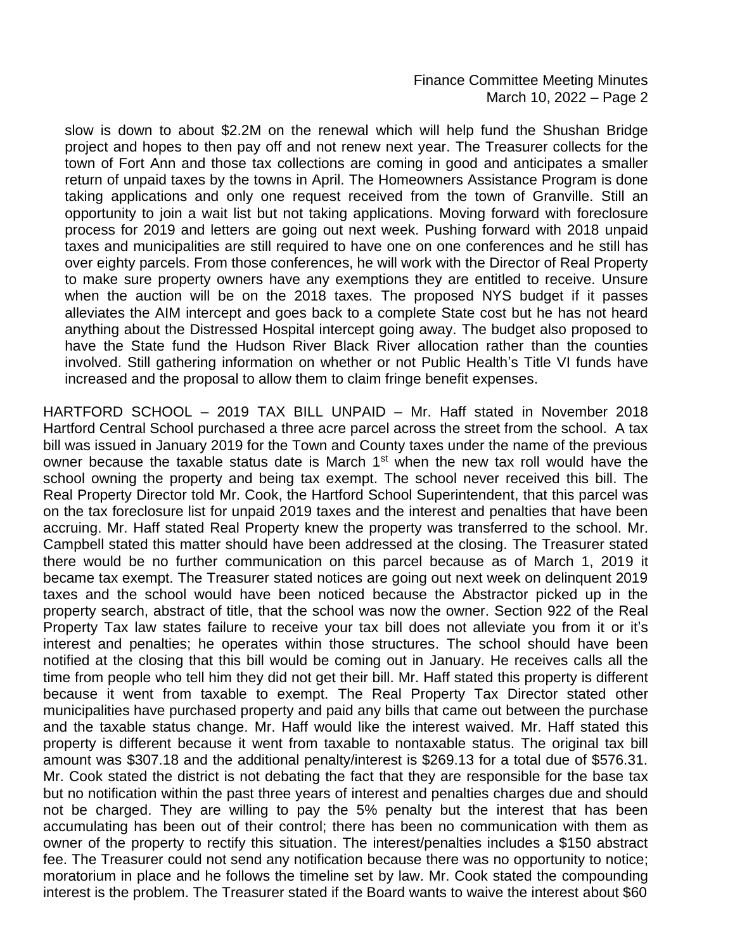#### Finance Committee Meeting Minutes March 10, 2022 – Page 2

slow is down to about \$2.2M on the renewal which will help fund the Shushan Bridge project and hopes to then pay off and not renew next year. The Treasurer collects for the town of Fort Ann and those tax collections are coming in good and anticipates a smaller return of unpaid taxes by the towns in April. The Homeowners Assistance Program is done taking applications and only one request received from the town of Granville. Still an opportunity to join a wait list but not taking applications. Moving forward with foreclosure process for 2019 and letters are going out next week. Pushing forward with 2018 unpaid taxes and municipalities are still required to have one on one conferences and he still has over eighty parcels. From those conferences, he will work with the Director of Real Property to make sure property owners have any exemptions they are entitled to receive. Unsure when the auction will be on the 2018 taxes. The proposed NYS budget if it passes alleviates the AIM intercept and goes back to a complete State cost but he has not heard anything about the Distressed Hospital intercept going away. The budget also proposed to have the State fund the Hudson River Black River allocation rather than the counties involved. Still gathering information on whether or not Public Health's Title VI funds have increased and the proposal to allow them to claim fringe benefit expenses.

HARTFORD SCHOOL – 2019 TAX BILL UNPAID – Mr. Haff stated in November 2018 Hartford Central School purchased a three acre parcel across the street from the school. A tax bill was issued in January 2019 for the Town and County taxes under the name of the previous owner because the taxable status date is March 1<sup>st</sup> when the new tax roll would have the school owning the property and being tax exempt. The school never received this bill. The Real Property Director told Mr. Cook, the Hartford School Superintendent, that this parcel was on the tax foreclosure list for unpaid 2019 taxes and the interest and penalties that have been accruing. Mr. Haff stated Real Property knew the property was transferred to the school. Mr. Campbell stated this matter should have been addressed at the closing. The Treasurer stated there would be no further communication on this parcel because as of March 1, 2019 it became tax exempt. The Treasurer stated notices are going out next week on delinquent 2019 taxes and the school would have been noticed because the Abstractor picked up in the property search, abstract of title, that the school was now the owner. Section 922 of the Real Property Tax law states failure to receive your tax bill does not alleviate you from it or it's interest and penalties; he operates within those structures. The school should have been notified at the closing that this bill would be coming out in January. He receives calls all the time from people who tell him they did not get their bill. Mr. Haff stated this property is different because it went from taxable to exempt. The Real Property Tax Director stated other municipalities have purchased property and paid any bills that came out between the purchase and the taxable status change. Mr. Haff would like the interest waived. Mr. Haff stated this property is different because it went from taxable to nontaxable status. The original tax bill amount was \$307.18 and the additional penalty/interest is \$269.13 for a total due of \$576.31. Mr. Cook stated the district is not debating the fact that they are responsible for the base tax but no notification within the past three years of interest and penalties charges due and should not be charged. They are willing to pay the 5% penalty but the interest that has been accumulating has been out of their control; there has been no communication with them as owner of the property to rectify this situation. The interest/penalties includes a \$150 abstract fee. The Treasurer could not send any notification because there was no opportunity to notice; moratorium in place and he follows the timeline set by law. Mr. Cook stated the compounding interest is the problem. The Treasurer stated if the Board wants to waive the interest about \$60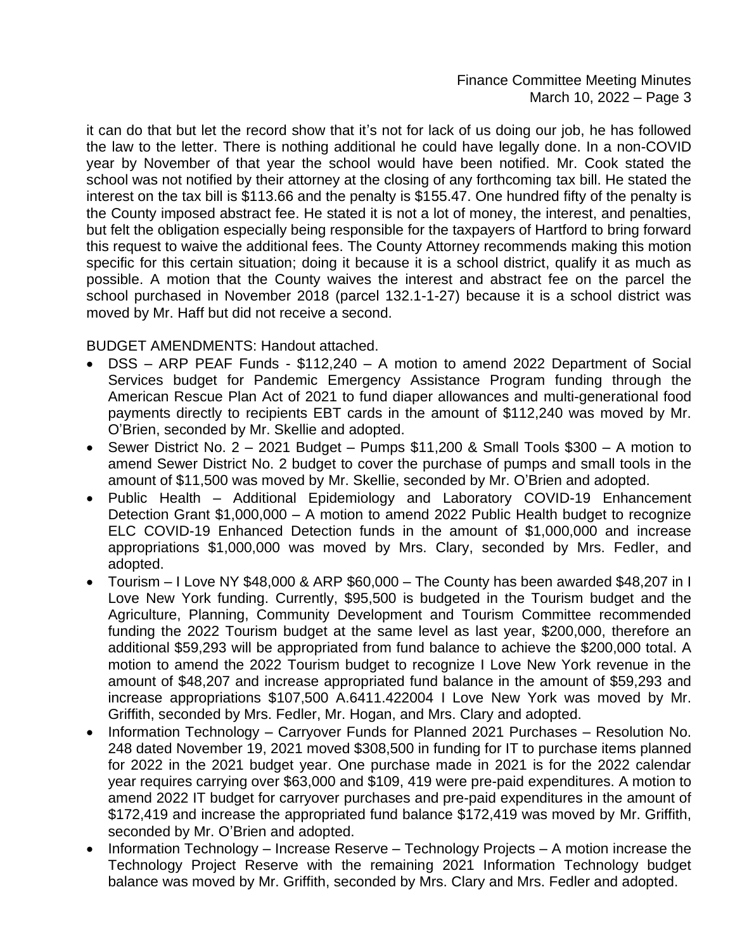it can do that but let the record show that it's not for lack of us doing our job, he has followed the law to the letter. There is nothing additional he could have legally done. In a non-COVID year by November of that year the school would have been notified. Mr. Cook stated the school was not notified by their attorney at the closing of any forthcoming tax bill. He stated the interest on the tax bill is \$113.66 and the penalty is \$155.47. One hundred fifty of the penalty is the County imposed abstract fee. He stated it is not a lot of money, the interest, and penalties, but felt the obligation especially being responsible for the taxpayers of Hartford to bring forward this request to waive the additional fees. The County Attorney recommends making this motion specific for this certain situation; doing it because it is a school district, qualify it as much as possible. A motion that the County waives the interest and abstract fee on the parcel the school purchased in November 2018 (parcel 132.1-1-27) because it is a school district was moved by Mr. Haff but did not receive a second.

BUDGET AMENDMENTS: Handout attached.

- DSS ARP PEAF Funds \$112,240 A motion to amend 2022 Department of Social Services budget for Pandemic Emergency Assistance Program funding through the American Rescue Plan Act of 2021 to fund diaper allowances and multi-generational food payments directly to recipients EBT cards in the amount of \$112,240 was moved by Mr. O'Brien, seconded by Mr. Skellie and adopted.
- Sewer District No. 2 2021 Budget Pumps \$11,200 & Small Tools \$300 A motion to amend Sewer District No. 2 budget to cover the purchase of pumps and small tools in the amount of \$11,500 was moved by Mr. Skellie, seconded by Mr. O'Brien and adopted.
- Public Health Additional Epidemiology and Laboratory COVID-19 Enhancement Detection Grant \$1,000,000 – A motion to amend 2022 Public Health budget to recognize ELC COVID-19 Enhanced Detection funds in the amount of \$1,000,000 and increase appropriations \$1,000,000 was moved by Mrs. Clary, seconded by Mrs. Fedler, and adopted.
- Tourism I Love NY \$48,000 & ARP \$60,000 The County has been awarded \$48,207 in I Love New York funding. Currently, \$95,500 is budgeted in the Tourism budget and the Agriculture, Planning, Community Development and Tourism Committee recommended funding the 2022 Tourism budget at the same level as last year, \$200,000, therefore an additional \$59,293 will be appropriated from fund balance to achieve the \$200,000 total. A motion to amend the 2022 Tourism budget to recognize I Love New York revenue in the amount of \$48,207 and increase appropriated fund balance in the amount of \$59,293 and increase appropriations \$107,500 A.6411.422004 I Love New York was moved by Mr. Griffith, seconded by Mrs. Fedler, Mr. Hogan, and Mrs. Clary and adopted.
- Information Technology Carryover Funds for Planned 2021 Purchases Resolution No. 248 dated November 19, 2021 moved \$308,500 in funding for IT to purchase items planned for 2022 in the 2021 budget year. One purchase made in 2021 is for the 2022 calendar year requires carrying over \$63,000 and \$109, 419 were pre-paid expenditures. A motion to amend 2022 IT budget for carryover purchases and pre-paid expenditures in the amount of \$172,419 and increase the appropriated fund balance \$172,419 was moved by Mr. Griffith, seconded by Mr. O'Brien and adopted.
- Information Technology Increase Reserve Technology Projects A motion increase the Technology Project Reserve with the remaining 2021 Information Technology budget balance was moved by Mr. Griffith, seconded by Mrs. Clary and Mrs. Fedler and adopted.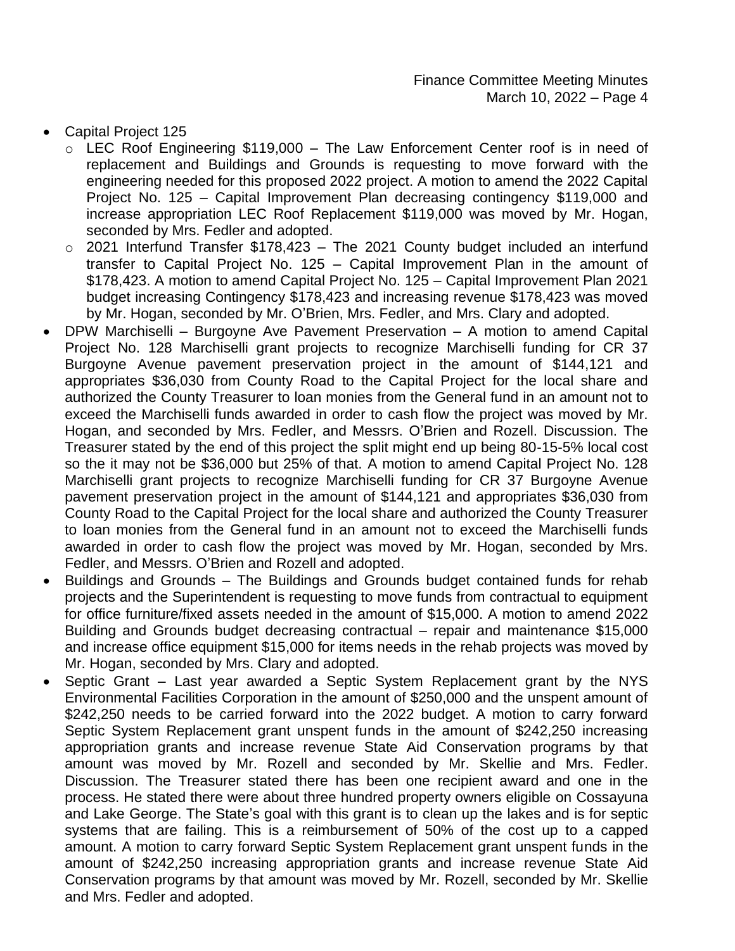- Capital Project 125
	- o LEC Roof Engineering \$119,000 The Law Enforcement Center roof is in need of replacement and Buildings and Grounds is requesting to move forward with the engineering needed for this proposed 2022 project. A motion to amend the 2022 Capital Project No. 125 – Capital Improvement Plan decreasing contingency \$119,000 and increase appropriation LEC Roof Replacement \$119,000 was moved by Mr. Hogan, seconded by Mrs. Fedler and adopted.
	- o 2021 Interfund Transfer \$178,423 The 2021 County budget included an interfund transfer to Capital Project No. 125 – Capital Improvement Plan in the amount of \$178,423. A motion to amend Capital Project No. 125 – Capital Improvement Plan 2021 budget increasing Contingency \$178,423 and increasing revenue \$178,423 was moved by Mr. Hogan, seconded by Mr. O'Brien, Mrs. Fedler, and Mrs. Clary and adopted.
- DPW Marchiselli Burgoyne Ave Pavement Preservation A motion to amend Capital Project No. 128 Marchiselli grant projects to recognize Marchiselli funding for CR 37 Burgoyne Avenue pavement preservation project in the amount of \$144,121 and appropriates \$36,030 from County Road to the Capital Project for the local share and authorized the County Treasurer to loan monies from the General fund in an amount not to exceed the Marchiselli funds awarded in order to cash flow the project was moved by Mr. Hogan, and seconded by Mrs. Fedler, and Messrs. O'Brien and Rozell. Discussion. The Treasurer stated by the end of this project the split might end up being 80-15-5% local cost so the it may not be \$36,000 but 25% of that. A motion to amend Capital Project No. 128 Marchiselli grant projects to recognize Marchiselli funding for CR 37 Burgoyne Avenue pavement preservation project in the amount of \$144,121 and appropriates \$36,030 from County Road to the Capital Project for the local share and authorized the County Treasurer to loan monies from the General fund in an amount not to exceed the Marchiselli funds awarded in order to cash flow the project was moved by Mr. Hogan, seconded by Mrs. Fedler, and Messrs. O'Brien and Rozell and adopted.
- Buildings and Grounds The Buildings and Grounds budget contained funds for rehab projects and the Superintendent is requesting to move funds from contractual to equipment for office furniture/fixed assets needed in the amount of \$15,000. A motion to amend 2022 Building and Grounds budget decreasing contractual – repair and maintenance \$15,000 and increase office equipment \$15,000 for items needs in the rehab projects was moved by Mr. Hogan, seconded by Mrs. Clary and adopted.
- Septic Grant Last year awarded a Septic System Replacement grant by the NYS Environmental Facilities Corporation in the amount of \$250,000 and the unspent amount of \$242,250 needs to be carried forward into the 2022 budget. A motion to carry forward Septic System Replacement grant unspent funds in the amount of \$242,250 increasing appropriation grants and increase revenue State Aid Conservation programs by that amount was moved by Mr. Rozell and seconded by Mr. Skellie and Mrs. Fedler. Discussion. The Treasurer stated there has been one recipient award and one in the process. He stated there were about three hundred property owners eligible on Cossayuna and Lake George. The State's goal with this grant is to clean up the lakes and is for septic systems that are failing. This is a reimbursement of 50% of the cost up to a capped amount. A motion to carry forward Septic System Replacement grant unspent funds in the amount of \$242,250 increasing appropriation grants and increase revenue State Aid Conservation programs by that amount was moved by Mr. Rozell, seconded by Mr. Skellie and Mrs. Fedler and adopted.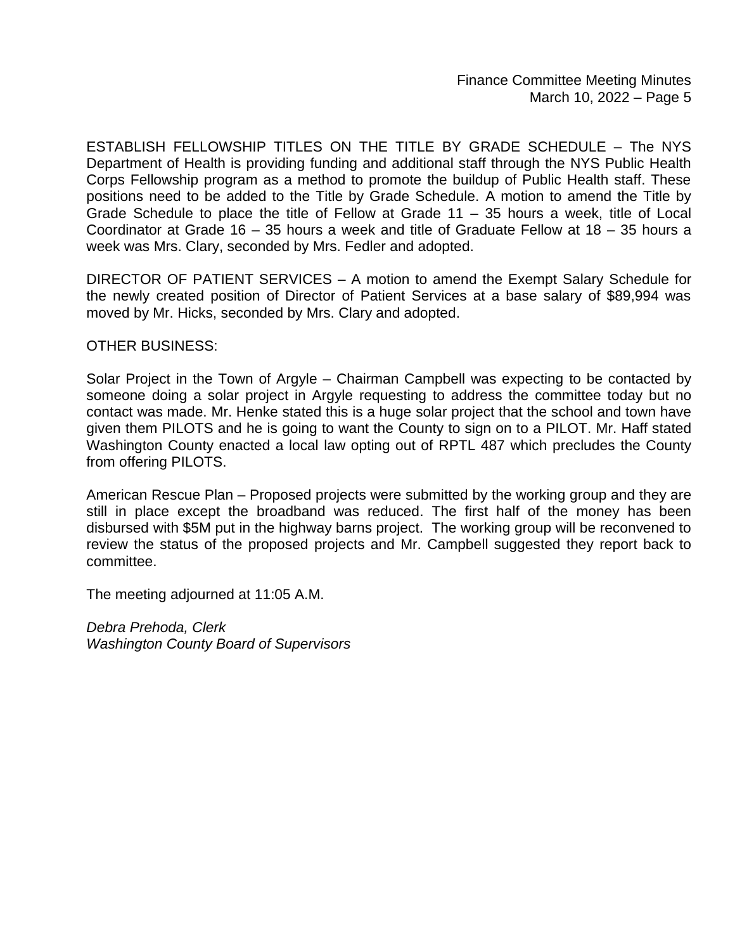ESTABLISH FELLOWSHIP TITLES ON THE TITLE BY GRADE SCHEDULE – The NYS Department of Health is providing funding and additional staff through the NYS Public Health Corps Fellowship program as a method to promote the buildup of Public Health staff. These positions need to be added to the Title by Grade Schedule. A motion to amend the Title by Grade Schedule to place the title of Fellow at Grade 11 – 35 hours a week, title of Local Coordinator at Grade 16 – 35 hours a week and title of Graduate Fellow at 18 – 35 hours a week was Mrs. Clary, seconded by Mrs. Fedler and adopted.

DIRECTOR OF PATIENT SERVICES – A motion to amend the Exempt Salary Schedule for the newly created position of Director of Patient Services at a base salary of \$89,994 was moved by Mr. Hicks, seconded by Mrs. Clary and adopted.

# OTHER BUSINESS:

Solar Project in the Town of Argyle – Chairman Campbell was expecting to be contacted by someone doing a solar project in Argyle requesting to address the committee today but no contact was made. Mr. Henke stated this is a huge solar project that the school and town have given them PILOTS and he is going to want the County to sign on to a PILOT. Mr. Haff stated Washington County enacted a local law opting out of RPTL 487 which precludes the County from offering PILOTS.

American Rescue Plan – Proposed projects were submitted by the working group and they are still in place except the broadband was reduced. The first half of the money has been disbursed with \$5M put in the highway barns project. The working group will be reconvened to review the status of the proposed projects and Mr. Campbell suggested they report back to committee.

The meeting adjourned at 11:05 A.M.

*Debra Prehoda, Clerk Washington County Board of Supervisors*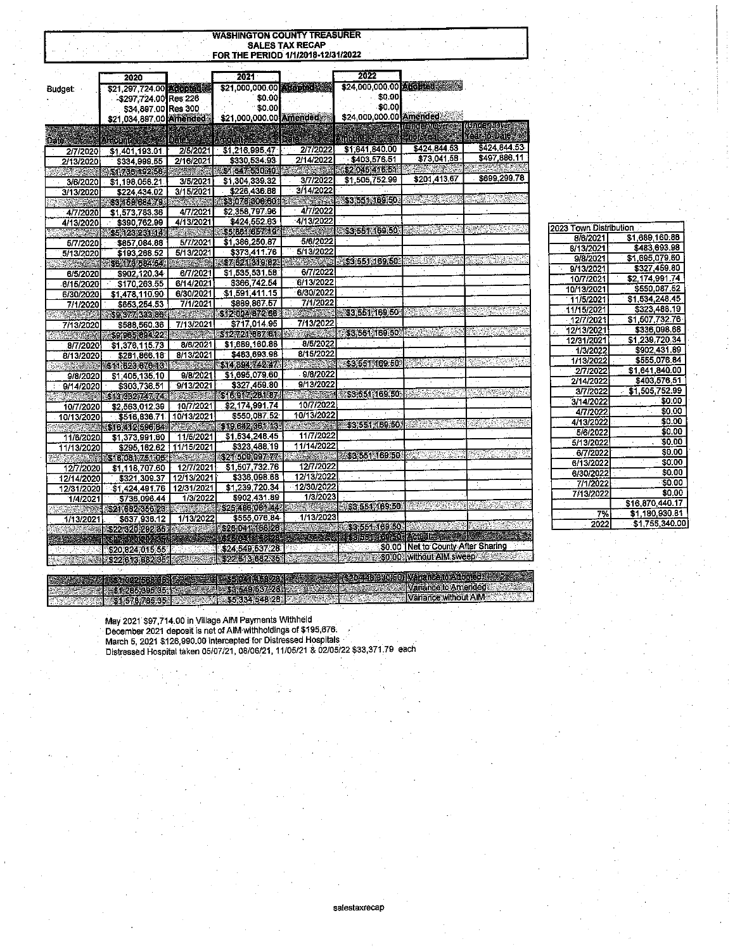# **WASHINGTON COUNTY TREASURER** SALES TAX RECAP<br>FOR THE PERIOD 1/1/2018-12/31/2022

|                          | 2020                    |                                       | 2021                    |                | 2022                    |                                    |                    |
|--------------------------|-------------------------|---------------------------------------|-------------------------|----------------|-------------------------|------------------------------------|--------------------|
| <b>Budget:</b>           | \$21,297,724.00 adopted |                                       | \$21,000,000.00 adopted |                | \$24,000,000.00 Adopted |                                    |                    |
|                          | -\$297.724.00 Res 226   |                                       | \$0.00                  |                | \$0.00                  |                                    |                    |
|                          | \$34,897.00 Res 300     |                                       | \$0.00                  |                | \$0.00                  |                                    |                    |
|                          | \$21,034,897.00 Amended |                                       | \$21,000,000.00 Amended |                | \$24,000,000.00 Amended |                                    |                    |
|                          |                         |                                       |                         |                |                         | <b>CHICLEONORG</b>                 | <b>CATCEMIONAL</b> |
| <b>Date:</b>             | Amerina                 |                                       |                         |                | <b>MODUCE AN</b>        | FOOR (23)                          | Yes Actuale        |
| 2/7/2020                 | \$1,401,193.01          | 2/5/2021                              | \$1,216,995.47          | 2/7/2022       | \$1,641,840.00          | \$424 844.53                       | \$424,844.53       |
| 2/13/2020                | \$334,999,55            | 2/16/2021                             | \$330,534.93            | 2/14/2022      | \$403,576.51            | \$73,041.58                        | \$497,886.11       |
|                          | \$1,786,192.56          |                                       | \$1,547,530.40          | <b>CARLO</b>   | \$2 045 41 6 51         |                                    |                    |
| 3/6/2020                 | \$1,198,058.21          | 3/5/2021                              | \$1,304,339.32          | 3/7/2022       | \$1,505,752.99          | \$201,413.67                       | \$699,299.78       |
| 3/13/2020                | \$224,434.02            | 3/15/2021                             | \$226,436.88            | 3/14/2022      |                         |                                    |                    |
| SP 8                     | 38315868479             |                                       | \$3.078.306.60          | A.<br>50.775   | \$3,551,169.50          |                                    |                    |
| 4/7/2020                 | \$1,573,783.36          | 4/7/2021                              | \$2,358,797.96          | 4/7/2022       |                         |                                    |                    |
| 4/13/2020                | \$390,762.99            | 4/13/2021                             | \$424,552.63            | 4/13/2022      |                         |                                    |                    |
|                          | 55.123231.14            | an win ne                             | \$5,861,657,19          | W.             | \$3,551,169.50          |                                    |                    |
| 5/7/2020                 | \$857,084.88            | 5/7/2021                              | \$1,386,250.87          | 5/6/2022       |                         |                                    |                    |
| 5/13/2020                | \$193.268.52            | 5/13/2021                             | \$373,411.76            | 5/13/2022      |                         |                                    |                    |
|                          | \$6173584.54            |                                       | \$7.621.319.82          |                | \$3,551,169.50          |                                    |                    |
| 6/5/2020                 | \$902,120.34            | 6/7/2021                              | \$1 535,531.58          | 6/7/2022       |                         |                                    |                    |
| 6/15/2020                | \$170,263.55            | 6/14/2021                             | \$366,742.54            | 6/13/2022      |                         |                                    |                    |
| 6/30/2020                | \$1,478,110.90          | 6/30/2021                             | \$1,591,411.15          | 6/30/2022      |                         |                                    |                    |
| 7/1/2020                 | \$653,254.53            | 7/1/2021                              | \$889,867.57            | 7/1/2022       |                         |                                    |                    |
|                          | \$9.377 333.86          |                                       | 81200437266             | <b>ANGERIE</b> | 83 551 169 50           |                                    |                    |
| 7/13/2020                | \$588,560.36            | 7/13/2021                             | \$717,014.95            | 7/13/2022      |                         |                                    |                    |
| $\sim 100$               | \$9,965,994.22          |                                       | \$127/21 887 61         |                | \$3 551 169 50          |                                    |                    |
| 8/7/2020                 | \$1,376,115.73          | 8/6/2021                              | \$1,689,160.88          | 8/5/2022       |                         |                                    |                    |
| 8/13/2020                | \$281,866.18            | 8/13/2021                             | \$483,693.98            | 8/15/2022      |                         |                                    |                    |
|                          | 51162367616             | <b>Report</b>                         | \$1489.974247           |                | 33.551.169.50           |                                    |                    |
| 9/8/2020                 | \$1,405,135.10          | 9/8/2021                              | \$1,695,079.60          | 9/8/2022       |                         |                                    |                    |
| 9/14/2020                | \$303,736.51            | 9/13/2021                             | \$327,459.80            | 9/13/2022      |                         |                                    |                    |
|                          | \$13.3327.47.74.        |                                       | \$16,917,281.87         |                | \$3,551,169,50          |                                    |                    |
| 10/7/2020                | \$2,563,012.39          | 10/7/2021                             | \$2,174,991.74          | 10/7/2022      |                         |                                    |                    |
| 10/13/2020               | \$516,836.71            | 10/13/2021                            | \$550,087.52            | 10/13/2022     |                         |                                    |                    |
|                          | \$16.412,596.84         | <b><i><u>ALL STREET</u></i></b>       | \$19,642,361.13.        |                | \$3,551,169.50          |                                    |                    |
| 11/6/2020                | \$1,373,991.60          | 11/5/2021                             | \$1,534,248.45          | 11/7/2022      |                         |                                    |                    |
| 11/13/2020               | \$295,162.62            | 11/15/2021                            | \$323,488.19            | 11/14/2022     |                         |                                    |                    |
|                          | \$18,081,751.06         | $\mathcal{M}^{\text{R}}_{\text{max}}$ | \$21,500,097.77         | an Barrett     | \$3,551,169.50          |                                    |                    |
| 12/7/2020                | \$1,118,707.60          | 12/7/2021                             | \$1,507,732.76          | 12/7/2022      |                         |                                    |                    |
| 12/14/2020               | \$321,309.37            | 12/13/2021                            | \$336,098.68            | 12/13/2022     |                         |                                    |                    |
| 12/31/2020               | \$1 424,491.76          | 12/31/2021                            | \$1,239,720.34          | 12/30/2022     |                         |                                    |                    |
| 1/4/2021                 | \$736,096.44            | 1/3/2022                              | \$902,431.89            | 1/3/2023       |                         |                                    |                    |
|                          | \$21,682,356,23         |                                       | \$25,486,081.44         | SWARI          | \$3,551,169,50          |                                    |                    |
| 1/13/2021                | \$637,936.12            | 1/13/2022                             | \$555,076.84            | 1/13/2023      |                         |                                    |                    |
|                          | \$22 320 292 35         |                                       | \$26.041.158.28         |                | \$3.554.169.50          |                                    |                    |
|                          | 2620, 21265             |                                       | Sunta Trintern          |                |                         | i kabata Acutha                    |                    |
|                          | \$20,824,015.55         |                                       | \$24,549,537.28         |                |                         | \$0.00 Net to County After Sharing |                    |
| <b>START OF STRAIGHT</b> | \$22.613.682.35         | Sie Al                                | \$22.613.682.35         |                |                         | \$0.00 without AIM sweep           |                    |

2023 Town Distribution 8/6/2021

> 8/13/2021 9/8/2021 9/13/2021

10/7/2021

10/13/2021

11/5/2021 11/15/2021

12/7/2021

1/3/2022

1/13/2022 2/7/2022

2/14/2022

3/7/2022

3/14/2022 4/7/2022

4/13/2022

5/6/2022

5/13/2022 6/7/2022

6/13/2022

6/30/2022

7/1/2022 7/13/2022

0) Vanance to Adopted: 2002.

Variance to Americade

Variance without AIM

7%

2022

12/13/2021 12/31/2021 \$1,689,160.88 \$483,693.98

\$327,459.80

\$550,087.52 \$1,534,248.45

\$323,488.19

\$1,507,732.76 \$336,098.66

\$1.239,720.34 \$902,431.89

\$555,076.84

\$1,641,840.00 \$403,576.51

\$1,505 752.99

 $$0.00$ 

 $$0.00$ 

 $$0.00$  $$0.00$ 

 $$0.00$ 

\$0.00

 $$0.00$ 

 $$0.00$  $$0.00$ 

 $$0,00$ \$16,870,440.17 \$1,180,930.81

\$1,755,340.00

\$2,174,991.74

a araqeesha.<br>Shihaaladeed \$3,549,537,28 55 334 548 28

May 2021 \$97,714.00 in Village AIM Payments Withheld December 2021 deposit is net of AIM withholdings of \$195,676. March 5, 2021 \$126,990.00 intercepted for Distressed Hospitals Distressed Hospital taken 05/07/21, 08/06/21, 11/05/21 & 02/05/22 \$33,371.79 each

2014161630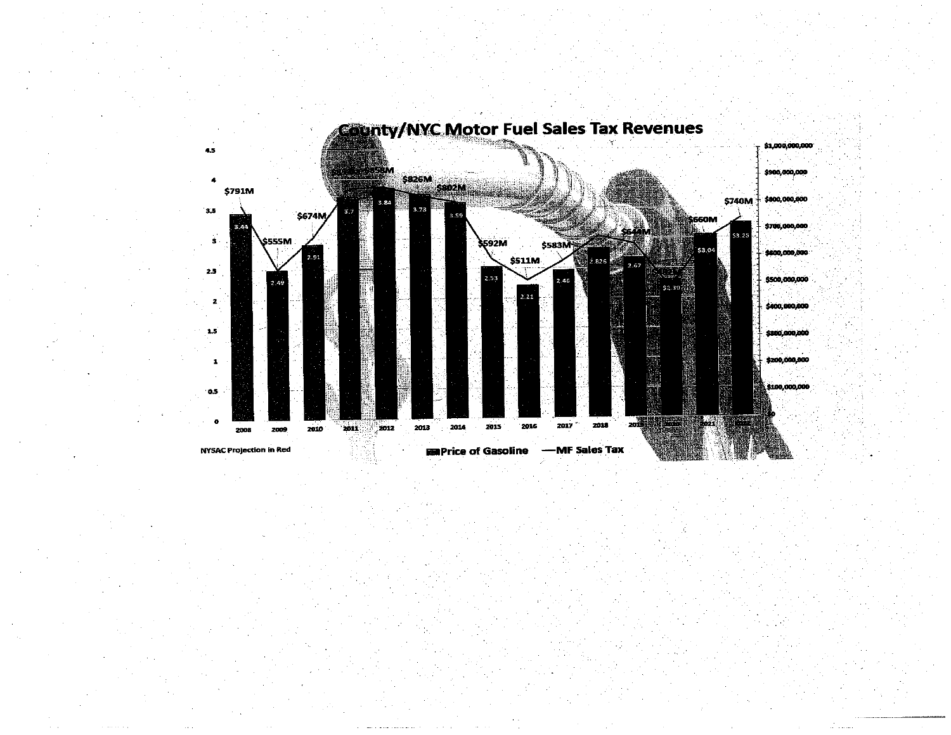

# **County/NYC Motor Fuel Sales Tax Revenues**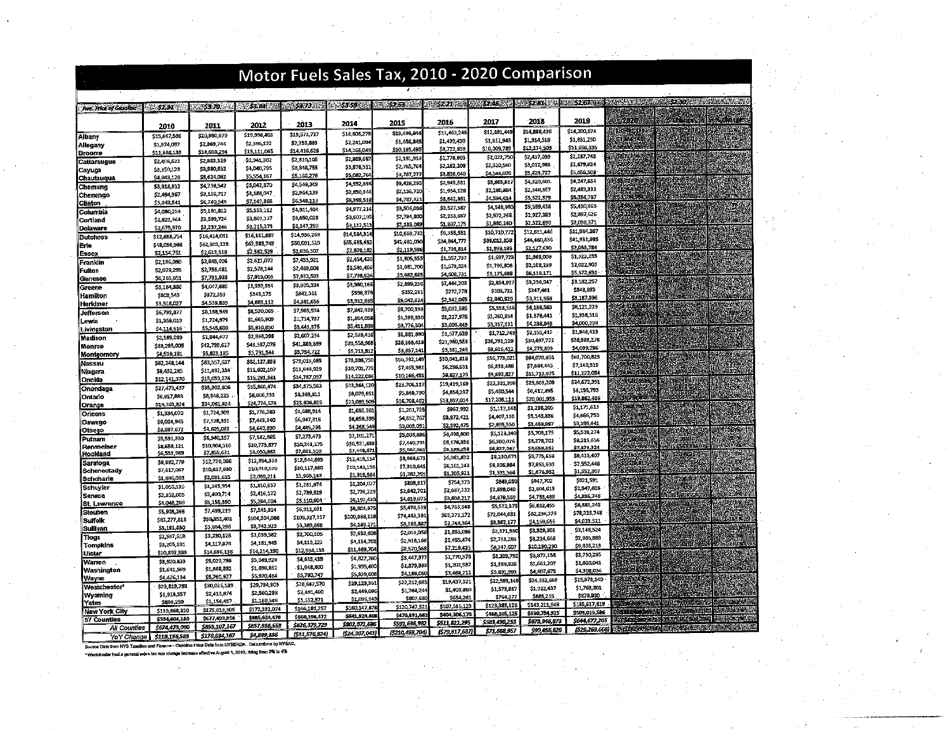|                                     | Motor Fuels Sales Tax, 2010 - 2020 Comparison |                                |                                |                               |                                |                                       |                             |                              |                              |                              |                                                                            |
|-------------------------------------|-----------------------------------------------|--------------------------------|--------------------------------|-------------------------------|--------------------------------|---------------------------------------|-----------------------------|------------------------------|------------------------------|------------------------------|----------------------------------------------------------------------------|
|                                     |                                               |                                |                                |                               |                                |                                       |                             | 32.46 22.82 \$2.81 \$        |                              |                              | <b>ROUSS 2.67 The Manual Contract of the Second Contract Contract Only</b> |
| Ave. Price of Gasoline              | 24:52.91                                      | <b>88351703</b>                | 53.84                          | <b>ASS.73 ASS</b>             |                                | A 1988-1989 A 1989-1989 A 1989-1989 A | <b>18/52.2 Band</b>         |                              |                              |                              |                                                                            |
|                                     | 2010                                          | 2011                           | 2012                           | 2013                          | 2014                           | 2015                                  | 2016                        | 2017                         | 2018                         | 2019                         | 2020)                                                                      |
| Albany                              | \$15,667,536                                  | \$20,980,679                   | \$19,996,403                   | \$19,573,727                  | \$18,805,276                   | \$13,496,844                          | \$11,463,246                | \$12,891.44                  | \$14,888,436                 | \$14,200,874                 | AGH SETTI                                                                  |
| Allegany                            | \$1,974,097                                   | \$2,369,744                    | \$2,396,122                    | \$2,255,883                   | \$2,241.094                    | \$1,656,849<br>\$10,135,495           | \$1,439,430<br>\$8,722,959  | \$1,512,943<br>\$10,309,789  | \$1,914,516<br>\$12,174,509  | \$1,831,250<br>\$11,656,335  | decade                                                                     |
| Broome                              | \$11,688,133                                  | \$14,608,294                   | \$15,111,065                   | \$14,416,628                  | \$14,166,04<br>\$2,869,68.     | \$2,181,918                           | \$1,776,903                 | \$2,022,750                  | \$2,437,099                  | \$2,287,745                  | 7000000                                                                    |
| Cattaraugus                         | \$2,406,621<br>\$3,350,123                    | \$2,983,329<br>\$3,980,632     | \$2,941,302<br>\$4,040,795     | \$2,810,105<br>\$3,848,755    | \$3,876,51.                    | \$2,765,76                            | \$2,162,208                 | \$2,520,560                  | \$3,012,983                  | \$2,679,624                  |                                                                            |
| Cayuna<br>Chautauqua                | \$4,843,129                                   | \$5,624,052                    | \$5,554,167                    | \$5,166,276                   | \$5,062,764                    | \$3,787,277                           | \$3,826,040                 | \$4,546,020                  | \$5,429,727                  | \$5,056,508                  | \$3757509                                                                  |
| Chemung                             | \$3,913,912                                   | \$4,738,542                    | \$5,042.870                    | \$4,549,369                   | \$4,552,696                    | \$3,428,29                            | \$2,943,581                 | \$3,663,61                   | 54,320,601<br>\$2,648,357    | \$4,247,654<br>\$2,482,333   | 50                                                                         |
| Chenango                            | \$2,464,967                                   | \$3,156,717                    | \$3,188,047                    | \$2,964,139                   | \$2,850,344<br>\$6,399,518     | \$2,136,720<br>\$4,787,821            | \$1,934,128<br>\$3,842,951  | \$2,280,884<br>\$4,594,614   | \$5,522,379                  | \$5,254,787                  |                                                                            |
| <b>Clinton</b>                      | \$5.343.541                                   | \$6,740,549                    | \$7,142,866<br>\$5,153,112     | \$6,548,113<br>\$4,911,404    | \$4,977,214                    | \$3,506,036                           | \$9,527,587                 | \$4,548,980                  | \$5,599,438                  | \$5,410,963                  |                                                                            |
| Columbia<br>Cortland                | \$4,080,254<br>\$2,821,964                    | \$5,191,812<br>\$3,599,724     | \$3,809.137                    | \$9,650,028                   | \$3,607,105                    | \$2,794,800                           | \$2,253,667                 | \$2,572,268                  | \$2,927,383                  | \$2,897,626                  |                                                                            |
| <b>Delaware</b>                     | \$2,675,970                                   | \$3,237,246                    | \$3,215,273                    | \$3,147,290                   | \$3,112,51                     | \$2,185,08                            | \$1.807.175                 | \$1,980,160                  | \$2,322,890                  | \$2,098.371                  |                                                                            |
| <b>Dutchess</b>                     | \$12,668,754                                  | \$16,414,091                   | \$16,161,687                   | \$14,936,269                  | \$14,584,31                    | \$10,569,732                          | \$9,355,551                 | \$10,710,77.<br>\$39.012.858 | \$12,511,446<br>\$44,450,835 | \$11,984,367<br>\$41.931.995 | îζ.                                                                        |
| lErie                               | \$48,056,986                                  | \$62,309,138                   | \$62,583,743                   | \$60,091,520<br>\$2,636,307   | \$55,635,453<br>\$2,876,18     | \$41,481,030<br>\$2,119,596           | \$34,844,777<br>\$1,793,814 | \$1,898,199                  | \$2,127,690                  | \$2,055,784                  |                                                                            |
| Essex                               | \$2,154,751                                   | \$2,613,518                    | \$2,562,529<br>\$2,621,072     | \$2,453,921                   | \$2,454,420                    | \$1,805,355                           | \$1,557,737                 | \$1,697,723                  | \$1,963,009                  | \$1,922,255                  |                                                                            |
| Franklin<br>Fulton                  | \$2,186,080<br>\$2,079,295                    | \$2,545,406<br>\$2,755,481     | \$2,578,144                    | \$2,489,006                   | \$2,581,466                    | \$1,681,700                           | \$1,579,354                 | \$1,796,806                  | \$2,108,239                  | \$2,022,901                  |                                                                            |
| Genesee                             | \$6,265,651                                   | \$7 731,933                    | \$7,919,008                    | \$7,632,501                   | \$7,738,626                    | \$5,682,885                           | \$4,608,731                 | \$5,175,698                  | \$6,118,171                  | \$5,372,651<br>\$3.132,257   | 228204                                                                     |
| Greene                              | \$3,164,380                                   | \$4,047,885                    | \$3,939,894                    | \$3,905,334                   | \$3,960,166                    | \$2,899,250<br>\$332,261              | \$2,444,203<br>\$272,778    | \$2,854,99.<br>\$303,723     | \$3,256,547<br>\$347,461     | \$348,893                    |                                                                            |
| Hamilton                            | \$303,543                                     | \$372,353                      | \$343,175                      | 5342,361<br>\$4,381,656       | \$396,37<br>\$3,912,663        | \$3,042,62                            | \$2,542,065                 | \$2,840,929                  | \$3,311,558                  | \$3,187,896                  |                                                                            |
| Herkimer                            | \$3,518,027                                   | \$4.539.839<br>\$8,158,949     | \$4,683,112<br>\$8,520,065     | \$7,969,974                   | \$7,842,439                    | \$5,700,393                           | \$5,032,595                 | \$5,553,530                  | \$6,136,563                  | \$6,121,229                  | 341828-452                                                                 |
| Jefferson<br>Lewis                  | \$6,792,877<br>\$1,358,019                    | \$1,724,979                    | \$1,665,909                    | \$1,714,737                   | \$1,804,058                    | \$1,288,830                           | \$1,227,976                 | \$1,260,854                  | \$1,376,441                  | \$1,338,516                  |                                                                            |
| Livingston                          | \$4,114,616                                   | \$5,545,600                    | \$5,810,850                    | \$5,441,375                   | S5,411,88                      | \$3,776,304                           | \$3,006,443                 | \$3,317,131                  | \$4,236,945                  | \$4,000,338<br>\$1,946,413   | 化石油                                                                        |
| Madison                             | \$2,189,089                                   | \$2,844,677                    | \$2,868,298                    | \$2,607,254                   | \$2,539,416                    | \$1,881,890                           | \$1,577,639<br>\$23,980,533 | \$1,712,745<br>\$26,791,229  | \$2,151,412<br>\$30,497,722  | \$28,966,276                 |                                                                            |
| Monroe                              | \$33,295,005                                  | \$42,799,627                   | \$43,587,079<br>\$5,791,544    | \$41,889,869<br>55,754,722    | \$39,558,968<br>\$5,713,812    | \$28,566,418<br>\$3,837,141           | \$3,331,243                 | \$5,616,412                  | \$4,275,899                  | \$4,099,296                  |                                                                            |
| Montgomery                          | \$4,519,191                                   | \$5,823,185<br>\$83,557,637    | \$82,127,833                   | \$79,013,685                  | \$75,586,750                   | \$56,392,149                          | \$50,041,818                | \$56,773,023                 | \$64,070,356                 | \$61,700,825                 | os yr S                                                                    |
| Nassau<br>Niagara                   | \$62,248,144<br>\$8,452,285                   | \$11,492,334                   | \$11,602,107                   | \$11,649,929                  | \$10,701,772                   | \$7,465,561                           | \$6,236,631                 | \$6,833,486                  | \$7,684,443                  | \$7,140,519                  |                                                                            |
| Oneida                              | \$12,141,370                                  | \$15,050,274                   | \$15,291,981                   | \$14,787,057                  | \$14,222,086                   | \$10,166,451                          | \$8,827,179                 | \$9,992,827<br>\$22,331,398  | \$11.713.975<br>\$25,803,209 | \$11,222,054<br>\$24,672.391 |                                                                            |
| Onondaga                            | \$27,473,437                                  | \$35,302,806                   | \$35,860,474                   | \$34,375,563                  | \$33,364,120                   | \$23,706.11<br>\$5,849,730            | \$19,419,169<br>\$4,854,237 | \$5,460,544                  | \$6,412,395                  | \$6,155,793                  |                                                                            |
| Ontario                             | \$6,817,888                                   | \$8,346,225                    | \$8,606,233<br>\$24,724,674    | \$8,363,811<br>\$23,606,825   | \$8,079,651<br>\$23,089,509    | \$16,708,462                          | \$13,897,014                | \$17,206,111                 | \$20,001.959                 | \$19,862,486                 | <b>SYARDAMISM</b>                                                          |
| Orange                              | \$19.103.824                                  | \$24,061,614<br>\$1,724,909    | \$1,776,380                    | \$1,688,914                   | \$1,695,361                    | \$1,201,725                           | \$967.992                   | \$1,112,148                  | \$1,298,205                  | \$1,171,613                  |                                                                            |
| Orieans<br>Oswego                   | \$1,334,070<br>\$6,024,945                    | \$7,528,391                    | \$7,443,340                    | \$6,947,315                   | \$6,659,395                    | \$4,652,767                           | \$9,972.421                 | \$4,407,110                  | \$5,145,836                  | \$4,666,750<br>\$3,199,441   | 69<br>Ш.                                                                   |
| Otsego                              | \$3,697,672                                   | \$4,605,083                    | \$4,640,830                    | \$4,485,293                   | \$4,265,549                    | \$5,005.03                            | \$2.592.475                 | \$2,895,550<br>\$5,129,340   | \$3,458,997<br>\$5,703,175   | \$5,539,274                  | 4044.29                                                                    |
| Putnam                              | \$5,531,330                                   | \$6,940,157                    | \$7,142,865                    | \$7,275,473                   | \$7,101,271<br>\$10,521,639    | \$5,008,89<br>\$7,440,731             | \$4,498,600<br>\$5,176,356  | \$6,900,076                  | \$8,278,702                  | \$8.219.656                  | 595,4965                                                                   |
| Rensselaer                          | \$8,658,121<br>\$6,533,989                    | \$10,904,316<br>\$7,855,631    | \$10,773,877<br>\$8,050,982    | \$10,241,275<br>\$7,661,510   | \$7,448,671                    | \$5,687,96                            | \$5,139,258                 | \$6,827,047                  | \$8,058,552                  | \$7,873,324                  |                                                                            |
| Rockland<br>Saratoga                | \$9,882,779                                   | \$12,728,066                   | \$12,954,333                   | \$12,544,695                  | \$12,415,114                   | \$8,669,67                            | \$6,961,622                 | \$8,230,673                  | \$9,775,658                  | \$9,413,407<br>\$7,552,446   | <b>ATTAINMENT</b><br>植生                                                    |
| Schenectady                         | \$7,817,067                                   | \$10,637,630                   | \$10,919,570                   | \$10,117,660                  | \$10,143,198                   | \$7,310,641<br>\$1,382,395            | \$6,161,244<br>\$1,205,921  | \$5,905,984<br>\$1,391,564   | \$7,893,639<br>\$1,576,932   | \$1,552,307                  | 222227                                                                     |
| <b>Schoharie</b>                    | \$1,896,093                                   | \$2,081,635                    | \$2,059,211                    | \$1,966.143<br>\$1,231,974    | \$1,919,984<br>\$1,204,027     | \$895.31                              | \$754,373                   | \$843,050                    | \$947,702                    | \$921,591                    | $7.1 - 5.24$                                                               |
| Schuyler                            | \$1,010,135<br>\$2,352,005                    | \$1,245,954<br>\$2,400,714     | \$1,310,657<br>\$2,416,122     | \$2,739,319                   | \$2,726,229                    | \$2,642.701                           | \$2,687,232                 | \$2,698,040                  | \$2,604,615                  | \$2,547,606                  |                                                                            |
| Seneca<br>St. Lawrence              | \$4,048,289                                   | \$5,155,350                    | \$5,284,604                    | \$5,110,904                   | \$6,192,410                    | \$4,619.073                           | \$3,808,217                 | \$4,378,559                  | \$4,783,438                  | \$4,836,748<br>\$6,381,243   | A'B78                                                                      |
| Steuben                             | \$5,903,266                                   | \$7,499,219                    | \$7,545,914                    | \$6,911,691                   | \$6,904,97                     | \$5,478,519                           | \$4,763,548                 | \$5,512,375<br>\$72,044,681  | \$6,832,455<br>\$82,236,229  | \$78,225,748                 | 104.14                                                                     |
| Suffolk                             | \$83,277.818                                  | \$99,851,401                   | \$104,304,086                  | \$103.327.117<br>\$3,389,868  | \$100,388,118<br>\$4,183,27    | \$74,443,391<br>\$3,195,887           | \$65,273,172<br>\$2,748,364 | \$3,362,177                  | \$4,169,655                  | \$4,025,521                  |                                                                            |
| Sullivan                            | \$3,191,850                                   | \$3,664,296                    | \$3,742,923<br>\$3,039,582     | \$2,700,505                   | \$2,652,600                    | \$2,051,056                           | \$1,855,096                 | \$2,371,330                  | \$3,329,301                  | \$3,148,524                  |                                                                            |
| Tioga                               | \$2,537,618<br>\$3,205,191                    | \$3,230,128<br>\$4,117,874     | 54,181,945                     | \$4,113,222                   | \$4,134,70                     | \$2,918,166                           | \$2,455,474                 | \$2,738,286                  | \$3,224,646                  | \$2,985,883                  | m an                                                                       |
| Tompkins<br>Uister                  | \$10,897,333                                  | \$14,696,138                   | \$14,214,190                   | \$12,934,133                  | \$11,469,70                    | \$8,570,561                           | \$7,219,42                  | \$8,242,607                  | \$10,190.290<br>\$1,872.158  | \$9,835,213<br>\$3,730,235   |                                                                            |
| Warren                              | \$3,920,835                                   | \$5,029,796                    | \$5,049,928                    | \$4,935,439                   | \$4,827,260                    | \$3,447,37<br>\$1,379,333             | \$2,770,378<br>\$1,202,987  | \$3,205,792<br>\$1,399,326   | \$1,661,207                  | \$1,620,041                  | 3317588                                                                    |
| Washington                          | \$1.641.569                                   | \$1,888,892                    | \$1,898,852<br>\$5,970,484     | \$1,948,300<br>\$5,790,747    | \$1,995,400<br>\$5,829,608     | \$4,189,060                           | \$3,466,21.                 | \$3,891,991                  | \$4,607,675                  | \$4,308,036                  |                                                                            |
| <b>V</b> ayne                       | \$4,476,134                                   | \$5,760,927<br>\$30,026,139    | \$29,794,905                   | \$28,647,570                  | \$29,123,361                   | \$22,212,685                          | \$19,437,321                | \$22,593,146                 | \$24,332,669                 | \$25,373,140                 |                                                                            |
| Westchester <sup>4</sup><br>Wyoming | \$23,819,798<br>\$1,913.557                   | \$2,413,B74                    | \$2,560,288                    | \$2,491,460                   | \$2,449,096                    | \$1.764,244                           | \$1,408,860                 | \$1,573,867                  | \$1,922,437                  | \$1,763,801<br>\$878,830     |                                                                            |
| Yates                               | \$899,259                                     | \$1,154,457                    | \$1,168,546                    | \$1,112,571                   | \$1,096,949                    | \$807,680                             | \$654,261<br>\$107,515,123  | \$764,377<br>\$123,385,128   | \$885,255<br>\$143,211,948   | \$135,617,619                | 33.CH                                                                      |
| <b>New York City</b>                | \$139,868,820                                 | \$175,613,309                  | \$172,332,074                  | \$166,181.257                 | \$160,147,878<br>\$641,924,808 | \$120,747,321<br>\$470,891,662        | \$404,306,179               | \$460,105,125                | \$530,734,925                | \$509,059,586                | ar ta an sa                                                                |
| 57 Counties                         | \$534,604,180                                 | \$677,493,858<br>\$853,107,167 | \$685,624,479<br>\$857,956,553 | 5660,198,472<br>\$826,379,729 | \$802,072,686                  | \$591,638,982                         | \$511,821,295               | \$583,490,253                | \$673,946,873                | \$644,677,205                | 59721673718                                                                |
| <b>All Counties</b><br>Phonna       | \$674,473,000<br><b>C110 155 589</b>          | \$178,634,167                  | 54.849.356                     | (531,576,824)                 | (\$24,307,043)                 | (5210, 433, 704)                      | (\$79,817,687)              | \$71,658,957                 | \$90,455,620                 | (\$29,269,668)               |                                                                            |

Source: Data from NYS Taxadon and Finance - Gasodine Price Data from NYSERDA, Calculations by NYSAC.

sasa elfactive August 1, 2019, rising from 3% to 4% \* Westchester had a general sales tax rate change in: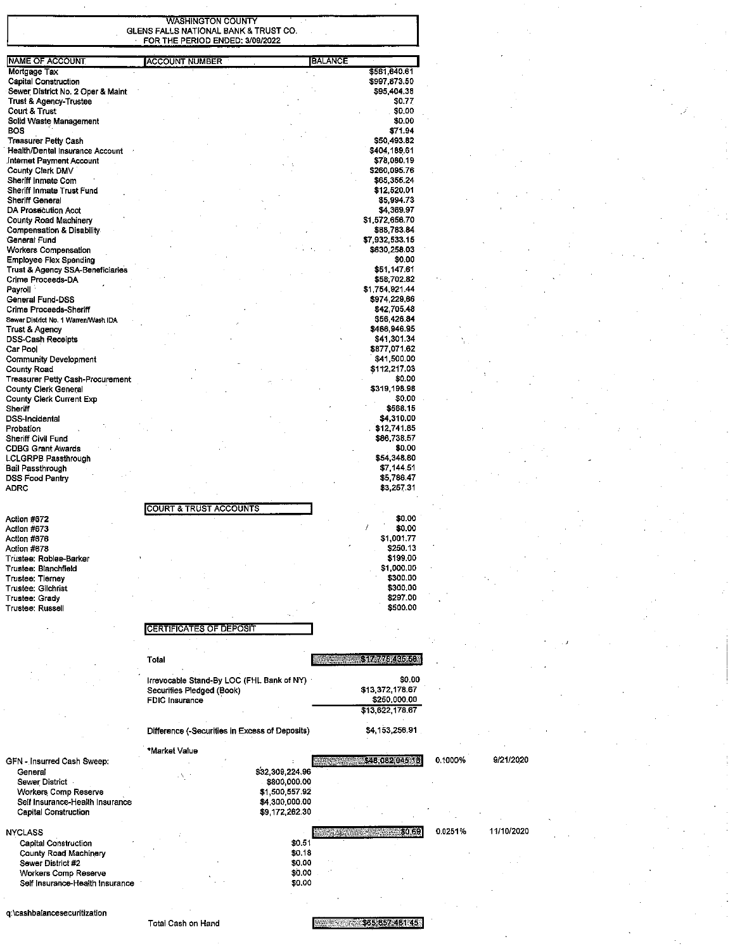|                                                                  | <b>WASHINGTON COUNTY</b><br>GLENS FALLS NATIONAL BANK & TRUST CO.<br>FOR THE PERIOD ENDED: 3/09/2022 |                                  |                                                                        |                       |  |
|------------------------------------------------------------------|------------------------------------------------------------------------------------------------------|----------------------------------|------------------------------------------------------------------------|-----------------------|--|
| <b>NAME OF ACCOUNT</b>                                           | <b>ACCOUNT NUMBER</b>                                                                                |                                  | <b>BALANCE</b>                                                         |                       |  |
| Mortgage Tax                                                     |                                                                                                      |                                  | \$581,640.61                                                           |                       |  |
| <b>Capital Construction</b><br>Sewer District No. 2 Oper & Maint |                                                                                                      |                                  | \$997,873.50<br>\$95,404.38                                            |                       |  |
| <b>Trust &amp; Agency-Trustee</b>                                |                                                                                                      |                                  | \$0.77                                                                 |                       |  |
| Court & Trust<br>Solid Waste Management                          |                                                                                                      |                                  | \$0.00<br>\$0.00                                                       |                       |  |
| <b>BOS</b>                                                       |                                                                                                      |                                  | \$71.94                                                                |                       |  |
| <b>Treasurer Petty Cash</b><br>Health/Dental Insurance Account   |                                                                                                      |                                  | \$50,493.82<br>\$404 189.61                                            |                       |  |
| Internet Payment Account                                         |                                                                                                      |                                  | \$78,080.19                                                            |                       |  |
| County Clerk DMV<br>Sheriff Inmate Com                           |                                                                                                      |                                  | \$260,095.76<br>\$65,355.24                                            |                       |  |
| Sheriff Inmate Trust Fund                                        |                                                                                                      |                                  | \$12,520.01                                                            |                       |  |
| Sheriff General<br><b>DA Prosecution Acct</b>                    |                                                                                                      |                                  | \$5,994.73<br>\$4,369.97                                               |                       |  |
| <b>County Road Machinery</b>                                     |                                                                                                      |                                  | \$1,572,656.70                                                         |                       |  |
| <b>Compensation &amp; Disability</b>                             |                                                                                                      |                                  | \$88,783.84                                                            |                       |  |
| General Fund<br><b>Workers Compensation</b>                      |                                                                                                      |                                  | \$7,932,533.15<br>\$630,258.03                                         |                       |  |
| <b>Employee Flex Spending</b>                                    |                                                                                                      |                                  | \$0.00                                                                 |                       |  |
| Trust & Agency SSA-Beneficiaries<br>Crime Proceeds-DA            |                                                                                                      |                                  | \$51 147.61<br>\$58,702.82                                             |                       |  |
| Payroll                                                          |                                                                                                      |                                  | \$1,754,921.44                                                         |                       |  |
| General Fund-DSS<br>Crime Proceeds-Sheriff                       |                                                                                                      |                                  | \$974.229,66<br>\$42,705.48                                            |                       |  |
| Sewer District No. 1 Warren/Wash IDA                             |                                                                                                      |                                  | \$56,426.84                                                            |                       |  |
| Trust & Agency<br><b>DSS-Cash Receipts</b>                       |                                                                                                      |                                  | \$486 946.95<br>\$41,301.34                                            |                       |  |
| Car Pool                                                         |                                                                                                      |                                  | \$877,071.62                                                           |                       |  |
| <b>Community Development</b>                                     |                                                                                                      |                                  | \$41,500.00                                                            |                       |  |
| <b>County Road</b><br>Treasurer Petty Cash-Procurement           |                                                                                                      |                                  | \$112.217.03<br>\$0.00                                                 |                       |  |
| <b>County Clerk General</b>                                      |                                                                                                      |                                  | \$319 198.98                                                           |                       |  |
| <b>County Clerk Current Exp</b><br>Sheriff                       |                                                                                                      |                                  | \$0.00<br>\$568.15                                                     |                       |  |
| <b>DSS-Incidental</b>                                            |                                                                                                      |                                  | \$4,310.00                                                             |                       |  |
| Probation<br>Sheriff Civil Fund                                  |                                                                                                      |                                  | \$12,741.85<br>\$86,738.57                                             |                       |  |
| <b>CDBG Grant Awards</b>                                         |                                                                                                      |                                  | \$0.00                                                                 |                       |  |
| LCLGRPB Passthrough                                              |                                                                                                      |                                  | \$54,348.80<br>\$7 144.51                                              |                       |  |
| <b>Bail Passthrough</b><br>DSS Food Pantry                       |                                                                                                      |                                  | \$5 786.47                                                             |                       |  |
| <b>ADRC</b>                                                      |                                                                                                      |                                  | \$3,257.31                                                             |                       |  |
|                                                                  | <b>COURT &amp; TRUST ACCOUNTS</b>                                                                    |                                  |                                                                        |                       |  |
| Action #672                                                      |                                                                                                      |                                  | \$0.00                                                                 |                       |  |
| Action #673<br>Action #676                                       |                                                                                                      |                                  | \$0.00<br>\$1,001.77                                                   |                       |  |
| Action #678                                                      |                                                                                                      |                                  | \$250.13                                                               |                       |  |
| Trustee: Roblee-Barker<br>Trustee: Blanchfield                   |                                                                                                      |                                  | \$199.00<br>\$1,000.00                                                 |                       |  |
| Trustee: Tierney                                                 |                                                                                                      |                                  | \$300.00                                                               |                       |  |
| Trustee: Gilchrist<br>Trustee: Grady                             |                                                                                                      |                                  | \$300.00<br>\$297.00                                                   |                       |  |
| Trustee: Russell                                                 |                                                                                                      |                                  | \$500.00                                                               |                       |  |
|                                                                  | <b>CERTIFICATES OF DEPOSIT</b>                                                                       |                                  |                                                                        |                       |  |
|                                                                  |                                                                                                      |                                  |                                                                        |                       |  |
|                                                                  |                                                                                                      |                                  |                                                                        |                       |  |
|                                                                  | Total                                                                                                |                                  | \$17,775,485,58<br>$\mathcal{R} = \mathcal{R} \mathcal{R} \mathcal{R}$ |                       |  |
|                                                                  | Irrevocable Stand-By LOC (FHL Bank of NY)                                                            |                                  | \$0.00                                                                 |                       |  |
|                                                                  | Securities Pledged (Book)<br><b>FDIC</b> Insurance                                                   |                                  | \$13,372,178.67<br>\$250,000.00                                        |                       |  |
|                                                                  |                                                                                                      |                                  | \$13,622,178.67                                                        |                       |  |
|                                                                  |                                                                                                      |                                  | \$4,153,256.91                                                         |                       |  |
|                                                                  | Difference (-Securities in Excess of Deposits)                                                       |                                  |                                                                        |                       |  |
|                                                                  | *Market Value                                                                                        |                                  |                                                                        | 9/21/2020             |  |
| GFN - Insurred Cash Sweep:<br>General                            |                                                                                                      | \$32,309,224.96                  | \$48,082,045.18<br><b>Alberta Care</b>                                 | 0.1000%               |  |
| Sewer District                                                   | A, S                                                                                                 | \$800,000.00                     |                                                                        |                       |  |
| Workers Comp Reserve<br>Self Insurance-Health Insurance          |                                                                                                      | \$1,500,557.92<br>\$4,300,000.00 |                                                                        |                       |  |
| <b>Capital Construction</b>                                      |                                                                                                      | \$9,172,262.30                   |                                                                        |                       |  |
|                                                                  |                                                                                                      |                                  |                                                                        | 11/10/2020<br>0.0251% |  |
| <b>NYCLASS</b><br><b>Capital Construction</b>                    |                                                                                                      | \$0.51                           | -\$0.69<br><b>Cardinal</b>                                             |                       |  |
| County Road Machinery                                            |                                                                                                      | \$0.18                           |                                                                        |                       |  |
| Sewer District #2<br>Workers Comp Reserve                        |                                                                                                      | \$0.00<br>\$0.00                 |                                                                        |                       |  |
| Self Insurance-Health Insurance                                  |                                                                                                      | \$0.00                           |                                                                        |                       |  |
|                                                                  |                                                                                                      |                                  |                                                                        |                       |  |
|                                                                  |                                                                                                      |                                  |                                                                        |                       |  |

Total Cash on Hand

E 2004 105 857 4 51 4 5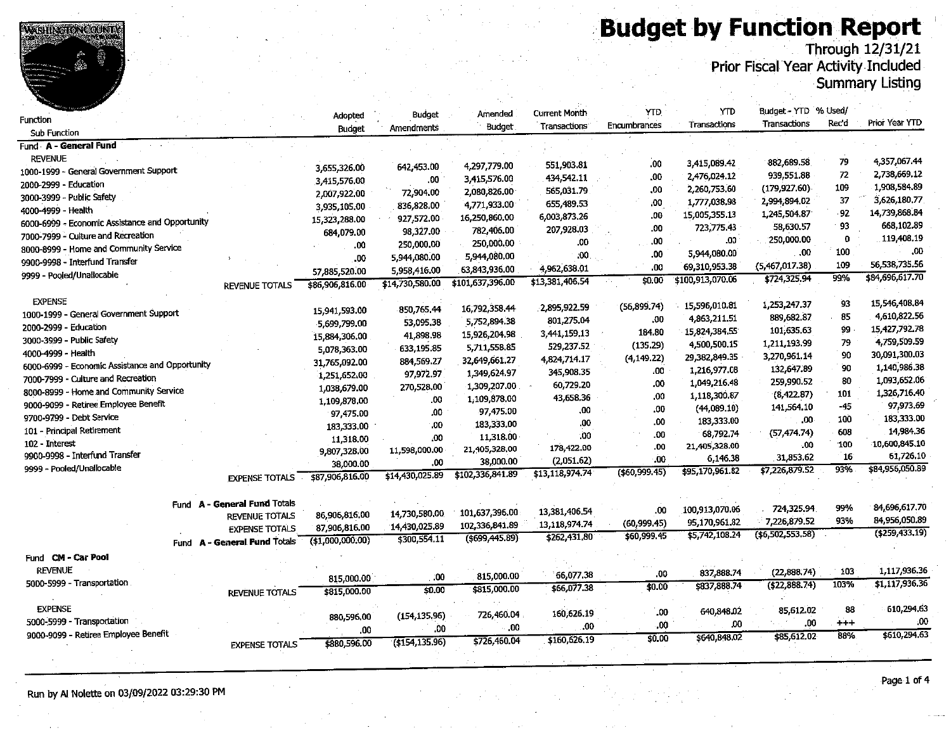**Budget by Function Report** 



|                                                 |                              |                 |                 |                  | <b>Current Month</b>     | YTD            | <b>YTD</b>                  | Budget - YTD % Used/     |          |                  |
|-------------------------------------------------|------------------------------|-----------------|-----------------|------------------|--------------------------|----------------|-----------------------------|--------------------------|----------|------------------|
| unction                                         |                              | Adopted         | Budget          | Amended          | Transactions             | Encumbrances   | Transactions                | Transactions             | Rec'd    | Prior Year YTD   |
| <b>Sub Function</b>                             |                              | <b>Budget</b>   | Amendments      | <b>Budget</b>    |                          |                |                             |                          |          |                  |
| und A - General Fund                            |                              |                 |                 |                  |                          |                |                             |                          |          |                  |
| <b>REVENUE</b>                                  |                              |                 |                 |                  |                          | .00            | 3,415,089.42                | 882,689.58               | 79       | 4,357,067.44     |
| 000-1999 - General Government Support           |                              | 3,655,326.00    | 642,453.00      | 4,297,779.00     | 551,903.81<br>434,542.11 | .00            | 2,476,024.12                | 939,551.88               | 72       | 2,738,669.12     |
| .000-2999 - Education                           |                              | 3,415,576.00    | .00.            | 3,415,576.00     |                          | .00            | 2,260,753.60                | (179,927.60)             | 109      | 1,908,584.89     |
| :000-3999 - Public Safety                       |                              | 2,007,922.00    | 72,904.00       | 2,080,826.00     | 565,031.79               | ,00            | 1,777,038.98                | 2,994,894.02             | 37       | 3,626,180.77     |
| 000-4999 - Health                               |                              | 3,935,105.00    | 836,828.00      | 4,771,933.00     | 655,489.53               | .00            | 15,005,355.13               | 1,245,504.87             | -92      | 14,739,868.84    |
| 000-6999 - Economic Assistance and Opportunity  |                              | 15,323,288.00   | 927,572.00      | 16,250,860.00    | 6,003,873.26             | .00            | 723,775.43                  | 58,630.57                | 93       | 668,102.89       |
| 000-7999 - Culture and Recreation               |                              | 684,079.00      | 98,327.00       | 782,406.00       | 207,928.03               | 00.            | .00                         | 250,000.00               | $\Omega$ | 119,408.19       |
| 000-8999 - Home and Community Service           |                              | .00             | 250,000.00      | 250,000.00       | .00                      | .00            | 5,944,080.00                | .00                      | 100      | .00              |
| 9900-9998 - Interfund Transfer                  |                              | .00             | 5,944,080.00    | 5,944,080.00     | .00.                     | .00            | 69,310,953.38               | (5,467,017.38)           | 109      | 56,538,735.56    |
| 1999 - Pooled/Unallocable                       |                              | 57,885,520.00   | 5,958,416.00    | 63,843,936.00    | 4,962,638.01             |                | \$100,913,070.06            | \$724,325.94             | 99%      | \$84,696,617.70  |
|                                                 | <b>REVENUE TOTALS</b>        | \$86,906,816.00 | \$14,730,580.00 | \$101,637,396.00 | \$13,381,406.54          | \$0.00         |                             |                          |          |                  |
| <b>EXPENSE</b>                                  |                              |                 |                 |                  |                          |                |                             | 1,253,247.37             | 93       | 15,546,408.84    |
| 1000-1999 - General Government Support          |                              | 15,941,593.00   | 850,765.44      | 16,792,358.44    | 2.895,922.59             | (56, 899.74)   | 15,596,010.81               | 889, 682, 87             | 85       | 4,610,822.56     |
| 2000-2999 - Education                           |                              | 5,699,799.00    | 53,095.38       | 5,752,894.38     | 801,275.04               | .00            | 4,863,211.51                | 101 635.63               | 99       | 15, 427, 792. 78 |
| 3000-3999 - Public Safety                       |                              | 15,884,306.00   | 41,898.98       | 15,926,204.98    | 3,441,159.13             | 184.80         | 15,824,384.55               | 1,211,193.99             | 79       | 4,759,509.59     |
| 4000-4999 - Health                              |                              | 5,078.363.00    | 633,195.85      | 5,711,558.85     | 529,237.52               | (135.29)       | 4,500,500.15                | 3,270,961.14             | 90       | 30,091,300.03    |
| 6000-6999 - Economic Assistance and Opportunity |                              | 31,765,092.00   | 884,569.27      | 32,649,661.27    | 4,824,714.17             | (4, 149.22)    | 29,382,849.35               | 132,647.89               | 90       | 1,140,986.38     |
| 7000-7999 - Culture and Recreation              |                              | 1,251,652.00    | 97.972.97       | 1,349,624.97     | 345,908.35               | 00،            | 1,216,977.08                | 259,990.52               | 80       | 1,093,652.06     |
| 8000-8999 - Home and Community Service          |                              | 1,038,679.00    | 270,528.00      | 1,309,207.00     | 60,729.20                | .00            | 1,049,216.48                |                          | 101      | 1,326,716.40     |
| 9000-9099 - Retiree Employee Benefit            |                              | 1,109,878.00    | .00             | 1,109,878.00     | 43,658.36                | .00            | 1,118,300.87                | (8,422.87)<br>141,564,10 | $-45$    | 97,973.69        |
| 9700-9799 - Debt Service                        |                              | 97,475.00       | .00.            | 97,475.00        | .00                      | .00            | (44.089.10)                 | $.00 \cdot$              | 100      | 183,333.00       |
| 101 - Principal Retirement                      |                              | 183,333.00      | .00             | 183,333,00       | .00                      | .00            | 183,333.00                  |                          | 608      | 14,984.36        |
| 102 - Interest                                  |                              | 11,318.00       | .00             | 11,318.00        | .00                      | .00            | 68,792.74                   | (57, 474, 74)<br>.00     | 100      | 10,600,845.10    |
| 9900-9998 - Interfund Transfer                  |                              | 9,807,328.00    | 11,598,000.00   | 21,405,328.00    | 178,422.00               | .00            | 21,405,328.00               | 31,853.62                | 16       | 61,726.10        |
| 9999 - Pooled/Unallocable                       |                              | 38,000.00       | .00             | 38,000.00        | (2,051.62)               | .00            | 6,146.38<br>\$95,170,961.82 | \$7,226,879.52           | 93%      | \$84,956,050.89  |
|                                                 | <b>EXPENSE TOTALS</b>        | \$87,906,816.00 | \$14,430,025.89 | \$102,336,841.89 | \$13,118,974.74          | (560, 999, 45) |                             |                          |          |                  |
|                                                 |                              |                 |                 |                  |                          |                |                             |                          |          |                  |
|                                                 | Fund A - General Fund Totals |                 |                 |                  |                          |                | 100.913,070.06              | 724,325.94               | 99%      | 84,696,617.70    |
|                                                 | <b>REVENUE TOTALS</b>        | 86,906,816.00   | 14,730,580.00   | 101,637,396.00   | 13,381,406.54            | .00            |                             | 7,226,879.52             | 93%      | 84.956,050.89    |
|                                                 | <b>EXPENSE TOTALS</b>        | 87,906,816.00   | 14,430,025.89   | 102,336,841.89   | 13,118,974.74            | (60, 999.45)   | 95,170,961.82               | ( \$6,502,553.58)        |          | (4259, 433, 19)  |
|                                                 | Fund A - General Fund Totals | (1,000,000,00)  | \$300,554.11    | ( \$699,445.89)  | \$262,431,80             | \$60,999.45    | \$5,742,108.24              |                          |          |                  |
| Fund CM - Car Pool                              |                              |                 |                 |                  |                          |                |                             |                          |          |                  |
| <b>REVENUE</b>                                  |                              |                 |                 |                  |                          |                | 837,888.74                  | (22.888.74)              | 103      | 1,117,936.36     |
| 5000-5999 - Transportation                      |                              | 815,000.00      | .00             | 815,000.00       | 66,077.38                | .00            |                             | ( \$22, 888.74)          | 103%     | \$1,117,936.36   |
|                                                 | <b>REVENUE TOTALS</b>        | \$815,000.00    | \$0.00          | \$815,000.00     | \$66,077.38              | \$0.00         | \$837,888.74                |                          |          |                  |
| <b>EXPENSE</b>                                  |                              |                 |                 |                  |                          |                |                             | 85,612.02                | 88       | 610,294.63       |
| 5000-5999 - Transportation                      |                              | 880,596.00      | (154, 135, 96)  | 726,460.04       | 160,626.19               | .00            | 640,848.02                  | .00                      | $+ + +$  | ,00              |
| 9000-9099 - Retiree Employee Benefit            |                              | .00             | .00             | .00.             | .00                      | .00            | .00                         |                          | 88%      | \$610,294.63     |
|                                                 | <b>EXPENSE TOTALS</b>        | \$880,596.00    | (154.135.96)    | \$726,460.04     | \$160,626.19             | \$0.00         | \$640,848.02                | \$85,612.02              |          |                  |
|                                                 |                              |                 |                 |                  |                          |                |                             |                          |          |                  |

Run by Al Nolette on 03/09/2022 03:29:30 PM

**WEHNGION COUNTY** 

F

Page 1 of 4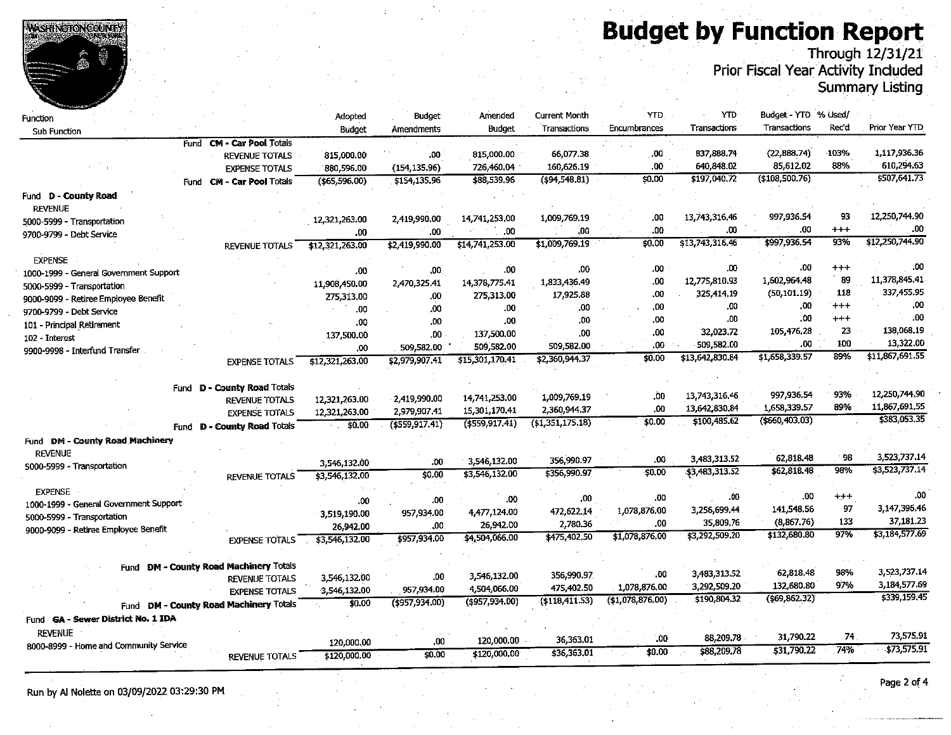**WASHINGTON COUNTS** 

# **Budget by Function Report**

Prior Fiscal Year Activity Included<br>Prior Fiscal Year Activity Included<br>Summary Listing

| Function                               |                                        | Adopted         | Budget            | Amended         | <b>Current Month</b> | YTD                 | YTD                          | Budget - YTD % Used/     |               |                 |
|----------------------------------------|----------------------------------------|-----------------|-------------------|-----------------|----------------------|---------------------|------------------------------|--------------------------|---------------|-----------------|
| Sub Function                           |                                        | <b>Budget</b>   | Amendments        | <b>Budget</b>   | Transactions         | Encumbrances        | Transactions                 | Transactions             | Rec'd         | Prior Year YTD  |
|                                        | Fund CM - Car Pool Totals              |                 |                   |                 |                      |                     |                              |                          |               |                 |
|                                        | <b>REVENUE TOTALS</b>                  | 815,000.00      | .00               | 815,000.00      | 66,077.38            | .00                 | 837,888.74                   | (22,888.74)              | 103%          | 1,117,936.36    |
|                                        | <b>EXPENSE TOTALS</b>                  | 880,596.00      | (154, 135.96)     | 726,460.04      | 160,626.19           | .00                 | 640,848.02                   | 85,612.02                | 88%           | 610,294.63      |
|                                        | Fund CM - Car Pool Totals              | (\$65,596.00)   | \$154,135.96      | \$88,539.96     | (494, 548.81)        | 50,00               | \$197,040.72                 | (108, 500.76)            |               | \$507,641.73    |
| Fund D - County Road                   |                                        |                 |                   |                 |                      |                     |                              |                          |               |                 |
| <b>REVENUE</b>                         |                                        |                 |                   |                 |                      |                     |                              |                          |               |                 |
| 5000-5999 - Transportation             |                                        | 12,321,263.00   | 2,419,990.00      | 14,741,253.00   | 1.009,769.19         | .00                 | 13,743,316.46                | 997,936.54               | 93            | 12,250,744.90   |
| 9700-9799 - Debt Service               |                                        | .00             | .00               | .00             | .00                  | .00                 | .00                          | .00                      | $^{+++}$      | .00             |
|                                        | <b>REVENUE TOTALS</b>                  | \$12,321,263.00 | \$2,419,990.00    | \$14,741,253.00 | \$1,009,769.19       | 50.00               | \$13,743,316.46              | \$997,936.54             | 93%           | \$12,250,744.90 |
| <b>EXPENSE</b>                         |                                        |                 |                   |                 |                      |                     |                              |                          |               |                 |
| 1000-1999 - General Government Support |                                        | .00             | .00 <sub>1</sub>  | .00             | .00                  | .00                 | .00                          | .00                      | $+ + +$       | .00             |
| 5000-5999 - Transportation             |                                        | 11,908,450.00   | 2,470,325.41      | 14,378,775.41   | 1,833,436.49         | .00                 | 12,775,810.93                | 1,602,964.48             | 89            | 11,378,845.41   |
| 9000-9099 - Retiree Employee Benefit   |                                        | 275,313.00      | .00               | 275,313.00      | 17,925.88            | .00                 | 325,414.19                   | (50, 101.19)             | 118           | 337,455.95      |
| 9700-9799 - Debt Service               |                                        | .00             | .00               | .00             | .00                  | .00                 | .00                          | .00                      | $^{++}$       | .00             |
| 101 - Principal Retirement             |                                        | .00             | .00               | ,00             | ,00                  | .00                 | .00                          | .00                      | $^{+++}$      | .00             |
| 102 - Interest                         |                                        | 137,500.00      | .00               | 137,500.00      | 00                   | .00                 | 32,023.72                    | 105.476.28               | 23            | 138,068.19      |
| 9900-9998 - Interfund Transfer         |                                        | .00             | 509,582.00        | 509,582.00      | 509,582.00           | .00                 | 509,582.00                   | .00                      | 100           | 13,322.00       |
|                                        | <b>EXPENSE TOTALS</b>                  | \$12,321,263.00 | \$2,979.907.41    | \$15,301,170.41 | \$2,360,944.37       | 50,00               | \$13,642,830.84              | \$1,658,339.57           | 89%           | \$11,867,691.55 |
|                                        |                                        |                 |                   |                 |                      |                     |                              |                          |               |                 |
| Fund                                   | D - County Road Totals                 |                 |                   |                 |                      |                     |                              |                          |               |                 |
|                                        | <b>REVENUE TOTALS</b>                  | 12,321,263.00   | 2,419,990.00      | 14,741,253.00   | 1,009,769.19         | .00                 | 13,743,316.46                | 997.936.54               | 93%           | 12,250,744.90   |
|                                        | <b>EXPENSE TOTALS</b>                  | 12,321,263.00   | 2,979,907.41      | 15,301,170.41   | 2,360,944.37         | 00                  | 13,642,830.84                | 1,658.339.57             | 89%           | 11,867,691.55   |
| Fund                                   | <b>D - County Road Totals</b>          | \$0,00          | $($ \$559,917.41) | (1559, 917.41)  | (1,351,175.18)       | \$0.00              | \$100,485.62                 | (\$660,403.03)           |               | \$383,053.35    |
| Fund DM - County Road Machinery        |                                        |                 |                   |                 |                      |                     |                              |                          |               |                 |
| <b>REVENUE</b>                         |                                        |                 |                   |                 |                      |                     |                              |                          |               | 3,523,737.14    |
| 5000-5999 - Transportation             |                                        | 3,546,132.00    | .00               | 3,546,132.00    | 356,990.97           | .00                 | 3,483,313.52                 | 62,818.48                | 98<br>98%     |                 |
|                                        | REVENUE TOTALS                         | \$3,546,132.00  | \$0.00            | \$3,546,132.00  | \$356,990.97         | \$0.00              | \$3,483,313.52               | \$62,818.48              |               | \$3,523,737.14  |
| <b>EXPENSE</b>                         |                                        |                 |                   |                 |                      |                     |                              |                          |               | .00             |
| 1000-1999 - General Government Support |                                        | .00             | .00               | .00             | .00                  | .00                 | .00                          | .00                      | $+ + +$<br>97 | 3.147,396.46    |
| 5000-5999 - Transportation             |                                        | 3,519,190.00    | 957,934.00        | 4,477,124.00    | 472,622.14           | 1,078,876.00        | 3,256,699.44                 | 141,548.56<br>(8,867.76) | 133           | 37,181.23       |
| 9000-9099 - Retiree Employee Benefit   |                                        | 26,942.00       | .00               | 26,942.00       | 2,780.36             | .00.                | 35,809.76                    | \$132,680.80             | 97%           | \$3,184,577.69  |
|                                        | <b>EXPENSE TOTALS</b>                  | \$3,546,132.00  | \$957,934.00      | \$4,504,066.00  | \$475,402.50         | \$1,078,876.00      | \$3,292,509.20               |                          |               |                 |
|                                        |                                        |                 |                   |                 |                      |                     |                              |                          |               |                 |
|                                        | Fund DM - County Road Machinery Totals |                 |                   |                 |                      |                     |                              | 62,818.48                | 98%           | 3.523,737.14    |
|                                        | <b>REVENUE TOTALS</b>                  | 3,546,132.00    | .00               | 3,546,132.00    | 356,990.97           | .00                 | 3,483,313.52<br>3.292,509.20 | 132,680.80               | 97%           | 3,184,577.69    |
|                                        | <b>EXPENSE TOTALS</b>                  | 3,546,132.00    | 957,934.00        | 4,504,066.00    | 475,402.50           | 1,078,876.00        | \$190,804.32                 | $($ \$69,862.32 $)$      |               | \$339,159.45    |
| Fund DM                                | - County Road Machinery Totals         | \$0.00          | $($ \$957,934.00) | (\$957,934.00)  | (118, 411, 53)       | $($ \$1,078,876.00) |                              |                          |               |                 |
| Fund GA - Sewer District No. 1 IDA     |                                        |                 |                   |                 |                      |                     |                              |                          |               |                 |
| <b>REVENUE</b>                         |                                        |                 |                   |                 |                      |                     |                              | 31,790.22                | 74            | 73,575.91       |
| 8000-8999 - Home and Community Service |                                        | 120,000.00      | .00               | 120,000.00      | 36,363.01            | .00                 | 88,209.78                    | \$31,790.22              | 74%           | \$73,575.91     |
|                                        | <b>REVENUE TOTALS</b>                  | \$120,000.00    | \$0.00            | \$120,000,00    | \$36,363,01          | \$0.00              | \$88,209.78                  |                          |               |                 |
|                                        |                                        |                 |                   |                 |                      |                     |                              |                          |               |                 |

Run by Al Nolette on 03/09/2022 03:29:30 PM

Page 2 of 4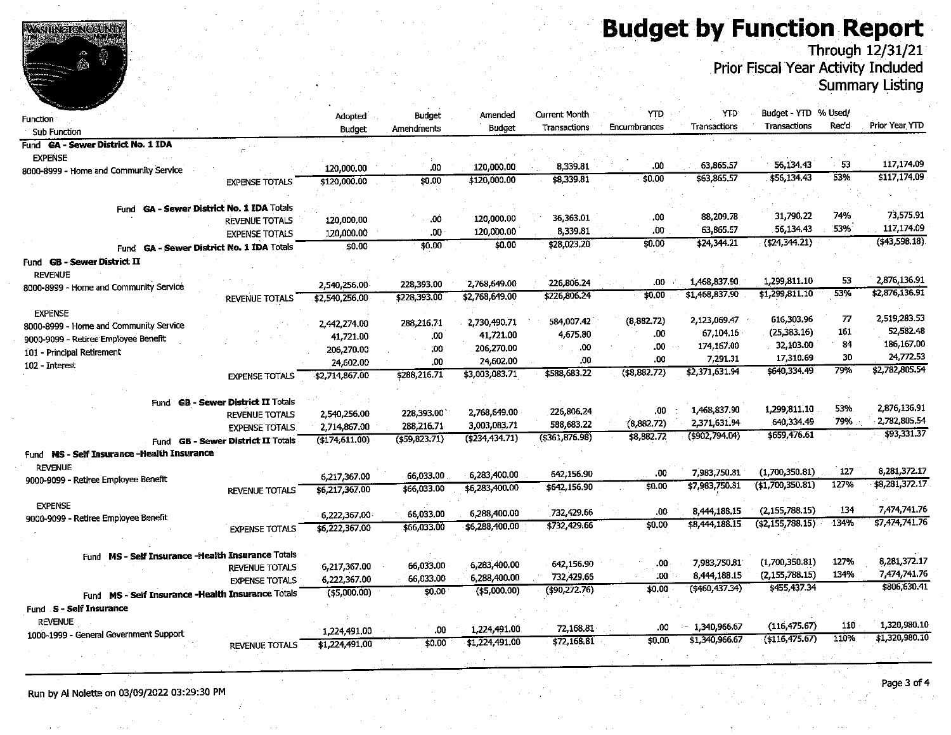# **Budget by Function Report**



Through 12/31/21<br>Prior Fiscal Year Activity Included

**Summary Listing** 

| Function                                           |                                    | Adopted         | Budget                   | Amended                        | Current Month  | YTD.          | YTD.                 | Budget - YTD                      | % Used/    |                |
|----------------------------------------------------|------------------------------------|-----------------|--------------------------|--------------------------------|----------------|---------------|----------------------|-----------------------------------|------------|----------------|
| Sub Function                                       |                                    | <b>Budget</b>   | Amendments               | <b>Budget</b>                  | Transactions   | Encumbrances  | Transactions         | Transactions                      | Rec'd      | Prior Year YTD |
| Fund GA - Sewer District No. 1 IDA                 |                                    |                 |                          |                                |                |               |                      |                                   |            |                |
| <b>EXPENSE</b>                                     |                                    |                 |                          |                                |                |               |                      |                                   |            |                |
| 8000-8999 - Home and Community Service             |                                    | 120,000.00      | .00                      | 120,000.00                     | 8,339.81       | .00           | 63,865.57            | 56, 134, 43                       | 53         | 117,174.09     |
|                                                    | <b>EXPENSE TOTALS</b>              | \$120,000.00    | \$0.00                   | \$120,000.00                   | \$8,339.81     | 50.00         | \$63,865.57          | \$56,134.43                       | 53%        | \$117,174.09   |
|                                                    |                                    |                 |                          |                                |                |               |                      |                                   |            |                |
| Fund GA - Sewer District No. 1 IDA Totals          |                                    |                 |                          |                                |                |               |                      |                                   |            | 73,575.91      |
|                                                    | <b>REVENUE TOTALS</b>              | 120,000.00      | .00                      | 120,000.00                     | 36,363.01      | .00           | 88,209.78            | 31.790.22                         | 74%<br>53% | 117,174.09     |
|                                                    | <b>EXPENSE TOTALS</b>              | 120,000.00      | 00.                      | 120,000,00                     | 8,339.81       | .00           | 63,865.57            | 56.134.43                         |            | (543.598.18)   |
| Fund GA - Sewer District No. 1 IDA Totals          |                                    | \$0.00          | \$0,00                   | \$0.00                         | \$28,023.20    | \$0.00        | \$24,344.21          | (\$24,344.21)                     |            |                |
| Fund GB - Sewer District II<br><b>REVENUE</b>      |                                    |                 |                          |                                |                |               |                      |                                   |            |                |
| 8000-8999 - Home and Community Service             |                                    | 2,540,256.00    | 228.393.00               | 2,768,649.00                   | 226,806.24     | .00           | 1,468,837.90         | 1,299.811.10                      | 53         | 2,876,136.91   |
|                                                    | <b>REVENUE TOTALS</b>              | \$2,540,256.00  | \$228.393.00             | \$2,768,649.00                 | \$226,806.24   | \$0.00        | \$1,468,837.90       | \$1,299,811.10                    | 53%        | \$2,876,136.91 |
| <b>EXPENSE</b>                                     |                                    |                 |                          |                                |                |               |                      |                                   |            |                |
| 8000-8999 - Home and Community Service             |                                    | 2,442,274.00    | 288,216.71               | 2,730,490.71                   | 584,007.42     | (8,882,72)    | 2,123,069.47         | 616,303.96                        | 77         | 2,519,283.53   |
| 9000-9099 - Retiree Employee Benefit               |                                    | 41,721.00       | .00                      | 41,721.00                      | 4,675.80       | ,00           | 67,104.16            | (25, 383.16)                      | 161        | 52,582.48      |
| 101 - Principal Retirement                         |                                    | 206,270.00      | .00                      | 206,270.00                     | .00            | .00           | 174,167.00           | 32,103.00                         | 84         | 186,167.00     |
| 102 - Interest                                     |                                    | 24,602.00       | .00                      | 24,602.00                      | .00            | .00           | 7,291.31             | 17,310.69                         | 30         | 24,772.53      |
|                                                    | <b>EXPENSE TOTALS</b>              | \$2,714,867.00  | \$288,216.71             | \$3,003,083.71                 | \$588,683.22   | ( \$8,882.72) | \$2,371,631.94       | \$640,334.49                      | 79%        | \$2,782,805.54 |
|                                                    |                                    |                 |                          |                                |                |               |                      |                                   |            |                |
|                                                    | Fund GB - Sewer District II Totals |                 |                          |                                |                |               |                      |                                   | 53%        | 2,876,136.91   |
|                                                    | <b>REVENUE TOTALS</b>              | 2,540,256.00    | 228,393.00               | 2,768,649.00                   | 226,806,24     | .00.          | 1,468,837.90         | 1,299,811.10<br>640,334.49        | 79%        | 2,782,805.54   |
|                                                    | <b>EXPENSE TOTALS</b>              | 2,714,867.00    | 288,216.71               | 3,003,083.71                   | 588,683.22     | (8,882,72)    | 2,371,631.94         | \$659,476.61                      |            | \$93,331.37    |
|                                                    | Fund GB - Sewer District II Totals | (\$174.611.00)  | $($ \$59,823,71)         | $($ \$234,434.71)              | (5361, 876.98) | \$8,882.72    | $($ \$902,794.04 $)$ |                                   |            |                |
| Fund MS - Self Insurance - Health Insurance        |                                    |                 |                          |                                |                |               |                      |                                   |            |                |
| <b>REVENUE</b>                                     |                                    |                 |                          |                                | 642,156.90     | .00           | 7,983,750.81         | (1,700,350.81)                    | 127        | 8,281,372.17   |
| 9000-9099 - Retiree Employee Benefit               |                                    | 6,217,367.00    | 66,033.00<br>\$66,033.00 | 6,283,400.00<br>\$6,283,400.00 | \$642,156.90   | \$0.00        | \$7,983,750.81       | (1,700.350.81)                    | 127%       | \$8,281,372.17 |
|                                                    | <b>REVENUE TOTALS</b>              | \$6,217,367.00  |                          |                                |                |               |                      |                                   |            |                |
| <b>EXPENSE</b>                                     |                                    | 6,222,367.00    | 66,033.00                | 6,288,400.00                   | 732,429.66     | .00.          | 8.444,188.15         | (2, 155, 788.15)                  | 134        | 7,474,741.76   |
| 9000-9099 - Retiree Employee Benefit               | <b>EXPENSE TOTALS</b>              | \$6,222,367.00  | \$66,033.00              | \$6,288,400.00                 | \$732,429.66   | \$0,00        | \$8,444,188.15       | $($ \$2,155,788.15)               | 134%       | \$7,474,741.76 |
|                                                    |                                    |                 |                          |                                |                |               |                      |                                   |            |                |
| Fund MS - Self Insurance - Health Insurance Totals |                                    |                 |                          |                                |                |               |                      |                                   |            |                |
|                                                    | <b>REVENUE TOTALS</b>              | 6,217,367.00    | 66,033.00                | 6,283,400.00                   | 642,156.90     | -00           | 7,983,750.81         | (1,700,350.81)                    | 127%       | 8,281,372.17   |
|                                                    | <b>EXPENSE TOTALS</b>              | 6,222,367.00    | 66,033.00                | 6,288,400.00                   | 732,429.66     | .00.          | 8,444,188.15         | (2, 155, 788.15)                  | 134%       | 7,474,741.76   |
| Fund MS - Self Insurance - Health Insurance Totals |                                    | $($ \$5,000.00) | \$0.00                   | ( \$5,000.00)                  | (\$90,272.76)  | \$0.00        | ( \$460, 437.34)     | \$455,437.34                      |            | \$806,630.41   |
| Fund S - Self Insurance                            |                                    |                 |                          |                                |                |               |                      |                                   |            |                |
| <b>REVENUE</b>                                     |                                    |                 |                          |                                |                |               |                      |                                   | 110        | 1,320,980,10   |
| 1000-1999 - General Government Support             |                                    | 1.224,491.00    | .00                      | 1,224,491.00                   | 72,168.81      | .00           | $-1,340,966.67$      | (116, 475, 67)<br>( \$116.475.67) | 110%       | \$1,320,980.10 |
|                                                    | <b>REVENUE TOTALS</b>              | \$1,224,491.00  | \$0.00                   | \$1,224,491.00                 | \$72,168,81    | \$0.00        | \$1.340,966.67       |                                   |            |                |
|                                                    |                                    |                 |                          |                                |                |               |                      |                                   |            |                |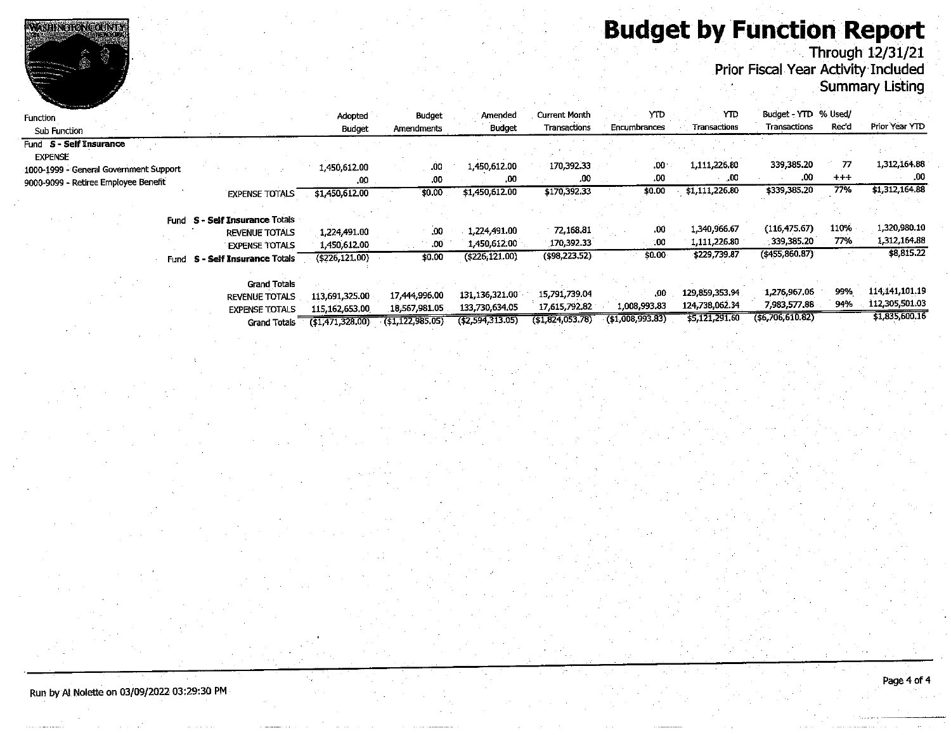# **Budget by Function Report**<br>Through 12/31/21<br>Prior Fiscal Year Activity Included



| <b>CONTRACTOR CONTRACTOR</b><br><b>Function</b><br>Sub Function |      |                                | Adopted<br><b>Budget</b>                              | <b>Budget</b><br>Amendments | Amended<br>Budget | <b>Current Month</b><br>Transactions | YTD<br>Encumbrances | YТD<br>Transactions | Budget - YTD % Used/<br>Transactions | Rec'd   | Prior Year YTD |
|-----------------------------------------------------------------|------|--------------------------------|-------------------------------------------------------|-----------------------------|-------------------|--------------------------------------|---------------------|---------------------|--------------------------------------|---------|----------------|
| Fund S - Self Insurance                                         |      |                                |                                                       |                             |                   |                                      |                     |                     |                                      |         |                |
| <b>EXPENSE</b>                                                  |      |                                |                                                       |                             |                   |                                      |                     |                     |                                      |         |                |
| 1000-1999 - General Government Support                          |      |                                | 1,450,612.00                                          | .00                         | 1,450,612.00      | 170,392.33                           | $.00 \cdot$         | 1,111,226.80        | 339,385.20                           | 77      | 1.312,164.88   |
| 9000-9099 - Retiree Employee Benefit                            |      |                                | $.00\,$                                               | .00                         | .00               | ,00                                  | .00                 | .00                 | .00                                  | $+ + +$ | - 00           |
|                                                                 |      | <b>EXPENSE TOTALS</b>          | \$1,450,612.00                                        | \$0.00                      | \$1,450,612,00    | \$170,392.33                         | \$0.00              | \$1,111,226.80      | \$339,385.20                         | 77%     | \$1,312,164.88 |
|                                                                 |      |                                |                                                       |                             |                   |                                      |                     |                     |                                      |         |                |
|                                                                 |      | Fund S - Self Insurance Totals |                                                       |                             |                   |                                      |                     |                     |                                      |         |                |
|                                                                 |      | <b>REVENUE TOTALS</b>          | 1,224,491.00                                          | .00                         | 1,224,491.00      | 72,168.81                            | .00                 | 1.340,966.67        | (116, 475, 67)                       | 110%    | 1,320,980.10   |
|                                                                 |      | <b>EXPENSE TOTALS</b>          | 1.450.612.00                                          | .00.                        | 1,450,612,00      | 170,392.33                           | -00                 | 1,111,226.80        | 339,385.20                           | 77%     | 1.312,164.88   |
|                                                                 | Fund | S - Self Insurance Totals      | (5226, 121, 00)                                       | \$0.00                      | $($ \$226;121.00) | (\$98,223.52)                        | \$0.00              | \$229,739.87        | $($ \$455,860.87)                    |         | \$8,815.22     |
|                                                                 |      |                                |                                                       |                             |                   |                                      |                     |                     |                                      |         |                |
|                                                                 |      | <b>Grand Totals</b>            |                                                       |                             |                   |                                      |                     |                     |                                      |         |                |
|                                                                 |      | <b>REVENUE TOTALS</b>          | 113,691,325.00                                        | 17,444,996.00               | 131,136,321.00    | 15,791,739.04                        | .00                 | 129,859,353,94      | 1,276.967.06                         | 99%     | 114,141,101.19 |
|                                                                 |      | <b>EXPENSE TOTALS</b>          | 115,162,653.00                                        | 18,567,981.05               | 133,730,634.05    | 17,615,792.82                        | 1.008,993.83        | 124,738,062.34      | 7,983,577.88                         | 94%     | 112,305,501.03 |
|                                                                 |      |                                | $C_{\text{model}}$ Tatale $\overline{161/71.229.001}$ | 741 177 985 051             | (42.594.313.05)   | (51.824.053.78)                      | $($ \$1,008,993,83) | \$5,121,291.60      | ( \$6,706,610.82)                    |         | \$1,835,600.16 |

WASHINGTONGOUNTY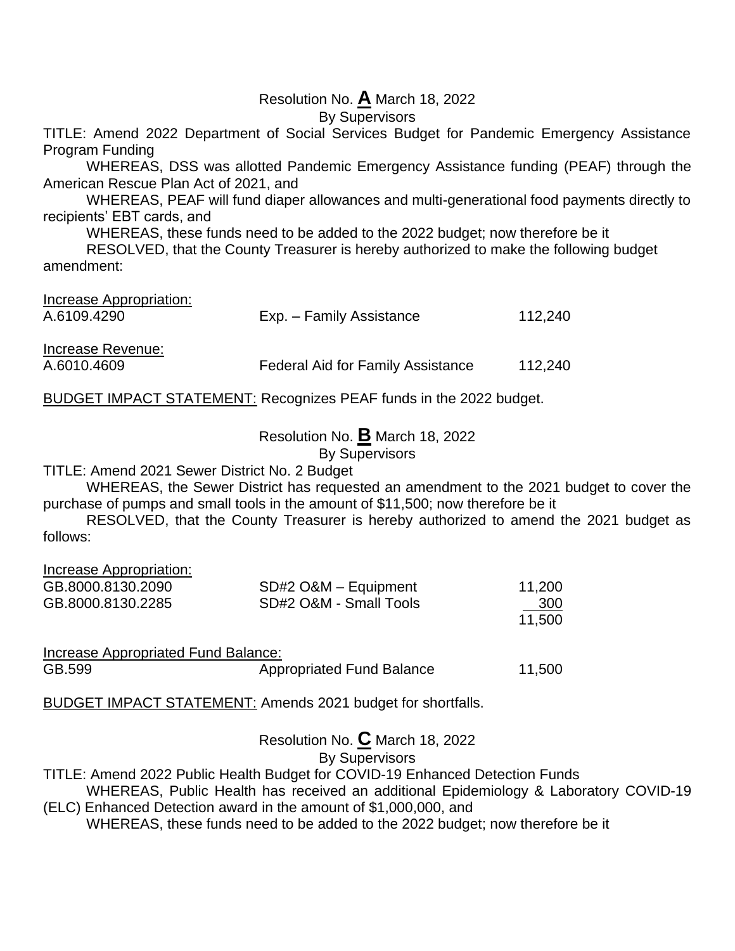# Resolution No. **A** March 18, 2022

By Supervisors

TITLE: Amend 2022 Department of Social Services Budget for Pandemic Emergency Assistance Program Funding

WHEREAS, DSS was allotted Pandemic Emergency Assistance funding (PEAF) through the American Rescue Plan Act of 2021, and

WHEREAS, PEAF will fund diaper allowances and multi-generational food payments directly to recipients' EBT cards, and

WHEREAS, these funds need to be added to the 2022 budget; now therefore be it

RESOLVED, that the County Treasurer is hereby authorized to make the following budget amendment:

| Increase Appropriation: |                                          |         |
|-------------------------|------------------------------------------|---------|
| A.6109.4290             | Exp. – Family Assistance                 | 112.240 |
|                         |                                          |         |
| Increase Revenue:       |                                          |         |
| A.6010.4609             | <b>Federal Aid for Family Assistance</b> | 112.240 |

BUDGET IMPACT STATEMENT: Recognizes PEAF funds in the 2022 budget.

Resolution No. **B** March 18, 2022

By Supervisors

TITLE: Amend 2021 Sewer District No. 2 Budget

WHEREAS, the Sewer District has requested an amendment to the 2021 budget to cover the purchase of pumps and small tools in the amount of \$11,500; now therefore be it

RESOLVED, that the County Treasurer is hereby authorized to amend the 2021 budget as follows:

| Increase Appropriation:             |                                  |        |
|-------------------------------------|----------------------------------|--------|
| GB.8000.8130.2090                   | SD#2 O&M - Equipment             | 11,200 |
| GB.8000.8130.2285                   | SD#2 O&M - Small Tools           | 300    |
|                                     |                                  | 11,500 |
| Increase Appropriated Fund Balance: |                                  |        |
| GB.599                              | <b>Appropriated Fund Balance</b> | 11,500 |

BUDGET IMPACT STATEMENT: Amends 2021 budget for shortfalls.

Resolution No. **C** March 18, 2022 By Supervisors

TITLE: Amend 2022 Public Health Budget for COVID-19 Enhanced Detection Funds

WHEREAS, Public Health has received an additional Epidemiology & Laboratory COVID-19 (ELC) Enhanced Detection award in the amount of \$1,000,000, and

WHEREAS, these funds need to be added to the 2022 budget; now therefore be it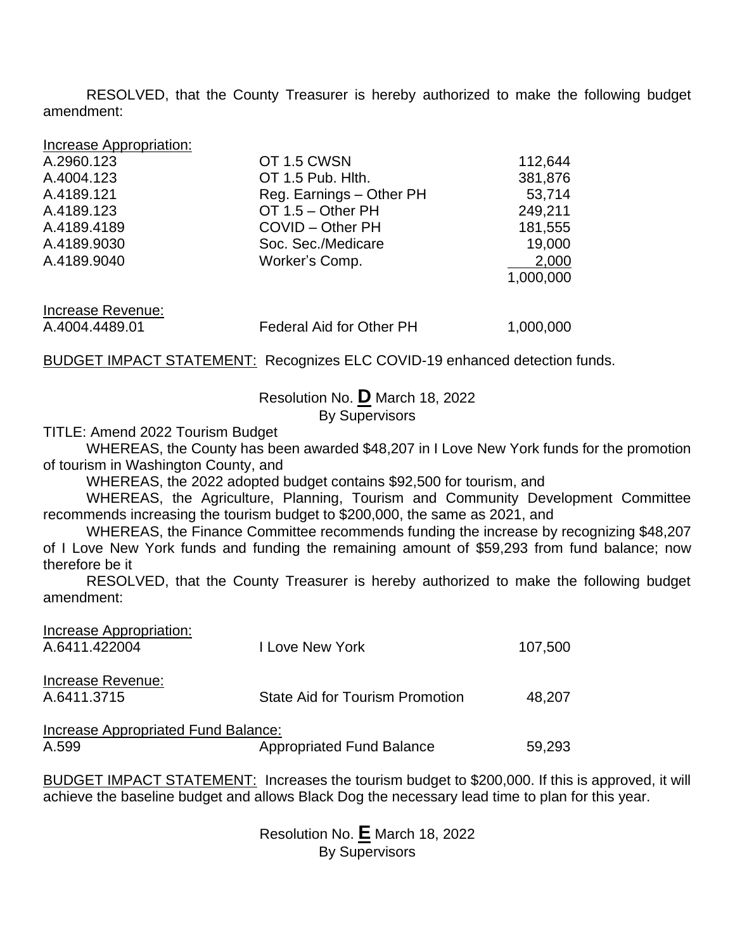RESOLVED, that the County Treasurer is hereby authorized to make the following budget amendment:

| Increase Appropriation: |
|-------------------------|
|-------------------------|

| A.2960.123        | OT 1.5 CWSN                     | 112,644   |
|-------------------|---------------------------------|-----------|
| A.4004.123        | OT 1.5 Pub. Hith.               | 381,876   |
| A.4189.121        | Reg. Earnings - Other PH        | 53,714    |
| A.4189.123        | OT 1.5 - Other PH               | 249,211   |
| A.4189.4189       | COVID - Other PH                | 181,555   |
| A.4189.9030       | Soc. Sec./Medicare              | 19,000    |
| A.4189.9040       | Worker's Comp.                  | 2,000     |
|                   |                                 | 1,000,000 |
| Increase Revenue: |                                 |           |
| A.4004.4489.01    | <b>Federal Aid for Other PH</b> | 1,000,000 |

**BUDGET IMPACT STATEMENT: Recognizes ELC COVID-19 enhanced detection funds.** 

Resolution No. **D** March 18, 2022 By Supervisors

TITLE: Amend 2022 Tourism Budget

WHEREAS, the County has been awarded \$48,207 in I Love New York funds for the promotion of tourism in Washington County, and

WHEREAS, the 2022 adopted budget contains \$92,500 for tourism, and

WHEREAS, the Agriculture, Planning, Tourism and Community Development Committee recommends increasing the tourism budget to \$200,000, the same as 2021, and

WHEREAS, the Finance Committee recommends funding the increase by recognizing \$48,207 of I Love New York funds and funding the remaining amount of \$59,293 from fund balance; now therefore be it

RESOLVED, that the County Treasurer is hereby authorized to make the following budget amendment:

| I Love New York                  | 107,500                                                                       |
|----------------------------------|-------------------------------------------------------------------------------|
|                                  |                                                                               |
|                                  |                                                                               |
|                                  | 48.207                                                                        |
|                                  |                                                                               |
|                                  |                                                                               |
| <b>Appropriated Fund Balance</b> | 59,293                                                                        |
|                                  | <b>State Aid for Tourism Promotion</b><br>Increase Appropriated Fund Balance: |

BUDGET IMPACT STATEMENT: Increases the tourism budget to \$200,000. If this is approved, it will achieve the baseline budget and allows Black Dog the necessary lead time to plan for this year.

> Resolution No. **E** March 18, 2022 By Supervisors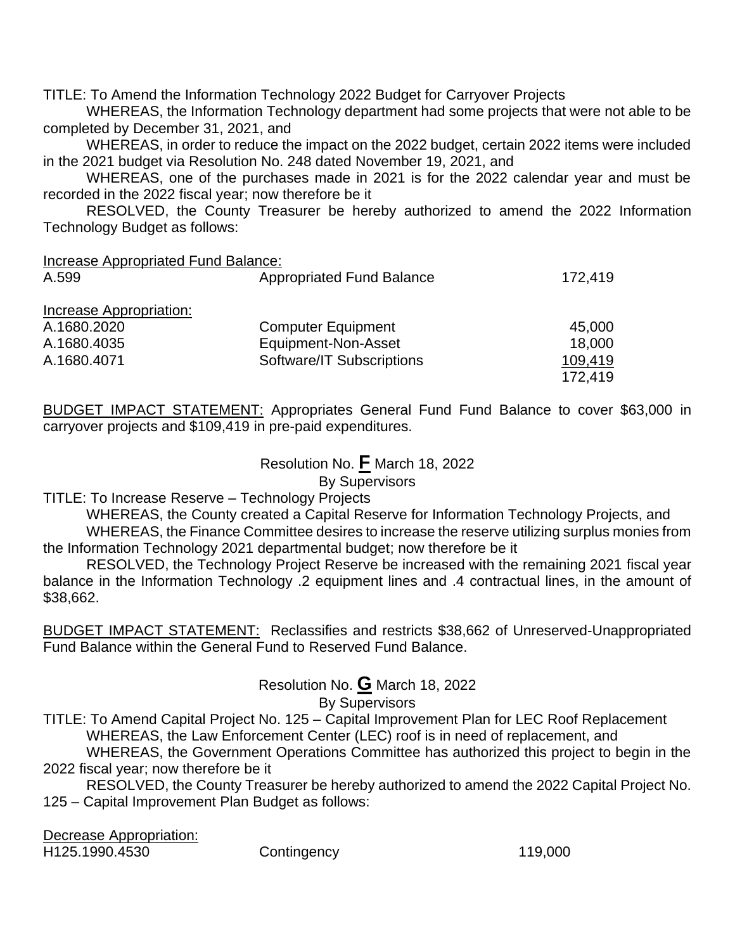TITLE: To Amend the Information Technology 2022 Budget for Carryover Projects

WHEREAS, the Information Technology department had some projects that were not able to be completed by December 31, 2021, and

WHEREAS, in order to reduce the impact on the 2022 budget, certain 2022 items were included in the 2021 budget via Resolution No. 248 dated November 19, 2021, and

WHEREAS, one of the purchases made in 2021 is for the 2022 calendar year and must be recorded in the 2022 fiscal year; now therefore be it

RESOLVED, the County Treasurer be hereby authorized to amend the 2022 Information Technology Budget as follows:

Increase Appropriated Fund Balance:

| A.599                   | <b>Appropriated Fund Balance</b> | 172,419 |
|-------------------------|----------------------------------|---------|
| Increase Appropriation: |                                  |         |
| A.1680.2020             | <b>Computer Equipment</b>        | 45,000  |
| A.1680.4035             | Equipment-Non-Asset              | 18,000  |
| A.1680.4071             | Software/IT Subscriptions        | 109,419 |
|                         |                                  | 172.419 |

BUDGET IMPACT STATEMENT: Appropriates General Fund Fund Balance to cover \$63,000 in carryover projects and \$109,419 in pre-paid expenditures.

> Resolution No. **F** March 18, 2022 By Supervisors

TITLE: To Increase Reserve – Technology Projects

WHEREAS, the County created a Capital Reserve for Information Technology Projects, and WHEREAS, the Finance Committee desires to increase the reserve utilizing surplus monies from the Information Technology 2021 departmental budget; now therefore be it

RESOLVED, the Technology Project Reserve be increased with the remaining 2021 fiscal year balance in the Information Technology .2 equipment lines and .4 contractual lines, in the amount of \$38,662.

BUDGET IMPACT STATEMENT: Reclassifies and restricts \$38,662 of Unreserved-Unappropriated Fund Balance within the General Fund to Reserved Fund Balance.

Resolution No. **G** March 18, 2022

# By Supervisors

TITLE: To Amend Capital Project No. 125 – Capital Improvement Plan for LEC Roof Replacement WHEREAS, the Law Enforcement Center (LEC) roof is in need of replacement, and

WHEREAS, the Government Operations Committee has authorized this project to begin in the 2022 fiscal year; now therefore be it

RESOLVED, the County Treasurer be hereby authorized to amend the 2022 Capital Project No. 125 – Capital Improvement Plan Budget as follows:

Decrease Appropriation:

H125.1990.4530 Contingency 119,000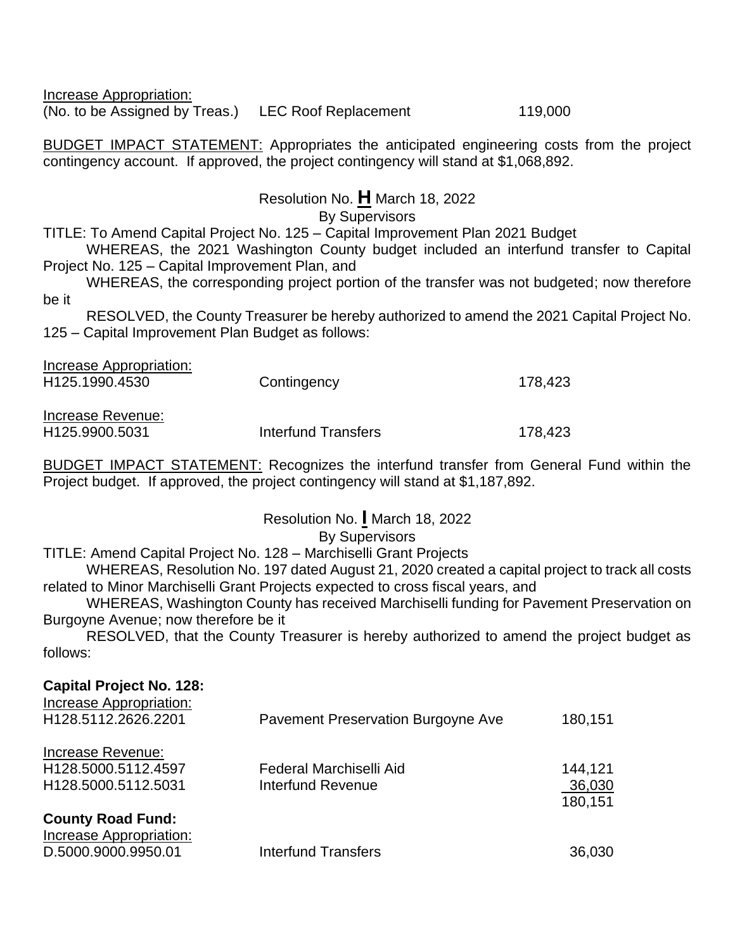Increase Appropriation: (No. to be Assigned by Treas.) LEC Roof Replacement 119,000

BUDGET IMPACT STATEMENT: Appropriates the anticipated engineering costs from the project contingency account. If approved, the project contingency will stand at \$1,068,892.

# Resolution No. **H** March 18, 2022

By Supervisors

TITLE: To Amend Capital Project No. 125 – Capital Improvement Plan 2021 Budget

WHEREAS, the 2021 Washington County budget included an interfund transfer to Capital Project No. 125 – Capital Improvement Plan, and

WHEREAS, the corresponding project portion of the transfer was not budgeted; now therefore be it

RESOLVED, the County Treasurer be hereby authorized to amend the 2021 Capital Project No. 125 – Capital Improvement Plan Budget as follows:

| Increase Appropriation:<br>H <sub>125.1990.4530</sub> | Contingency         | 178,423 |
|-------------------------------------------------------|---------------------|---------|
| Increase Revenue:<br>H <sub>125.9900.5031</sub>       | Interfund Transfers | 178.423 |

BUDGET IMPACT STATEMENT: Recognizes the interfund transfer from General Fund within the Project budget. If approved, the project contingency will stand at \$1,187,892.

# Resolution No. **I** March 18, 2022

# By Supervisors

TITLE: Amend Capital Project No. 128 – Marchiselli Grant Projects

WHEREAS, Resolution No. 197 dated August 21, 2020 created a capital project to track all costs related to Minor Marchiselli Grant Projects expected to cross fiscal years, and

WHEREAS, Washington County has received Marchiselli funding for Pavement Preservation on Burgoyne Avenue; now therefore be it

RESOLVED, that the County Treasurer is hereby authorized to amend the project budget as follows:

# **Capital Project No. 128:** Increase Appropriation: H128.5112.2626.2201 Pavement Preservation Burgoyne Ave 180,151 Increase Revenue: H128.5000.5112.4597 Federal Marchiselli Aid 144,121 H128.5000.5112.5031 Interfund Revenue 36,030 180,151 **County Road Fund:** Increase Appropriation: D.5000.9000.9950.01 Interfund Transfers 36,030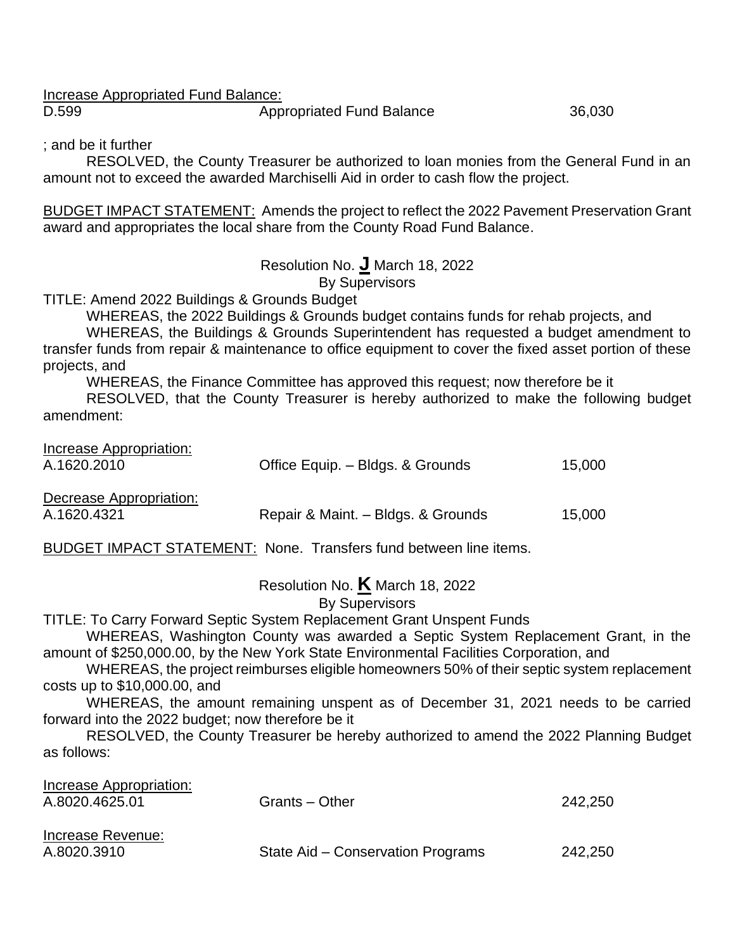Increase Appropriated Fund Balance:

D.599 **Appropriated Fund Balance** 36,030

; and be it further

RESOLVED, the County Treasurer be authorized to loan monies from the General Fund in an amount not to exceed the awarded Marchiselli Aid in order to cash flow the project.

BUDGET IMPACT STATEMENT: Amends the project to reflect the 2022 Pavement Preservation Grant award and appropriates the local share from the County Road Fund Balance.

Resolution No. **J** March 18, 2022

By Supervisors

TITLE: Amend 2022 Buildings & Grounds Budget

WHEREAS, the 2022 Buildings & Grounds budget contains funds for rehab projects, and

WHEREAS, the Buildings & Grounds Superintendent has requested a budget amendment to transfer funds from repair & maintenance to office equipment to cover the fixed asset portion of these projects, and

WHEREAS, the Finance Committee has approved this request; now therefore be it

RESOLVED, that the County Treasurer is hereby authorized to make the following budget amendment:

| Increase Appropriation:<br>A.1620.2010 | Office Equip. - Bldgs. & Grounds   | 15,000 |
|----------------------------------------|------------------------------------|--------|
| Decrease Appropriation:<br>A.1620.4321 | Repair & Maint. - Bldgs. & Grounds | 15,000 |

BUDGET IMPACT STATEMENT: None. Transfers fund between line items.

Resolution No. **K** March 18, 2022

By Supervisors

TITLE: To Carry Forward Septic System Replacement Grant Unspent Funds

WHEREAS, Washington County was awarded a Septic System Replacement Grant, in the amount of \$250,000.00, by the New York State Environmental Facilities Corporation, and

WHEREAS, the project reimburses eligible homeowners 50% of their septic system replacement costs up to \$10,000.00, and

WHEREAS, the amount remaining unspent as of December 31, 2021 needs to be carried forward into the 2022 budget; now therefore be it

RESOLVED, the County Treasurer be hereby authorized to amend the 2022 Planning Budget as follows:

| Increase Appropriation: |                                   |         |
|-------------------------|-----------------------------------|---------|
| A.8020.4625.01          | Grants – Other                    | 242,250 |
| Increase Revenue:       |                                   |         |
| A.8020.3910             | State Aid – Conservation Programs | 242,250 |